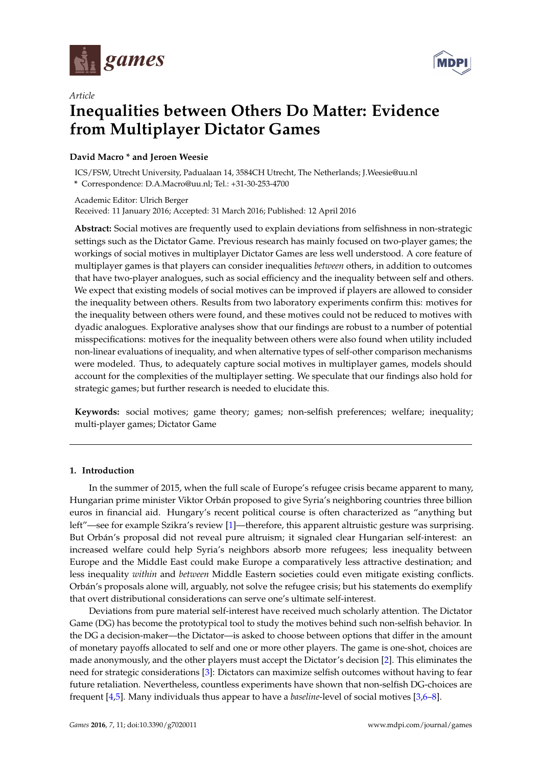

*Article*



# **Inequalities between Others Do Matter: Evidence from Multiplayer Dictator Games**

### **David Macro \* and Jeroen Weesie**

ICS/FSW, Utrecht University, Padualaan 14, 3584CH Utrecht, The Netherlands; J.Weesie@uu.nl **\*** Correspondence: D.A.Macro@uu.nl; Tel.: +31-30-253-4700

Academic Editor: Ulrich Berger

Received: 11 January 2016; Accepted: 31 March 2016; Published: 12 April 2016

**Abstract:** Social motives are frequently used to explain deviations from selfishness in non-strategic settings such as the Dictator Game. Previous research has mainly focused on two-player games; the workings of social motives in multiplayer Dictator Games are less well understood. A core feature of multiplayer games is that players can consider inequalities *between* others, in addition to outcomes that have two-player analogues, such as social efficiency and the inequality between self and others. We expect that existing models of social motives can be improved if players are allowed to consider the inequality between others. Results from two laboratory experiments confirm this: motives for the inequality between others were found, and these motives could not be reduced to motives with dyadic analogues. Explorative analyses show that our findings are robust to a number of potential misspecifications: motives for the inequality between others were also found when utility included non-linear evaluations of inequality, and when alternative types of self-other comparison mechanisms were modeled. Thus, to adequately capture social motives in multiplayer games, models should account for the complexities of the multiplayer setting. We speculate that our findings also hold for strategic games; but further research is needed to elucidate this.

**Keywords:** social motives; game theory; games; non-selfish preferences; welfare; inequality; multi-player games; Dictator Game

#### **1. Introduction**

In the summer of 2015, when the full scale of Europe's refugee crisis became apparent to many, Hungarian prime minister Viktor Orbán proposed to give Syria's neighboring countries three billion euros in financial aid. Hungary's recent political course is often characterized as "anything but left"—see for example Szikra's review [\[1\]](#page-20-0)—therefore, this apparent altruistic gesture was surprising. But Orbán's proposal did not reveal pure altruism; it signaled clear Hungarian self-interest: an increased welfare could help Syria's neighbors absorb more refugees; less inequality between Europe and the Middle East could make Europe a comparatively less attractive destination; and less inequality *within* and *between* Middle Eastern societies could even mitigate existing conflicts. Orbán's proposals alone will, arguably, not solve the refugee crisis; but his statements do exemplify that overt distributional considerations can serve one's ultimate self-interest.

Deviations from pure material self-interest have received much scholarly attention. The Dictator Game (DG) has become the prototypical tool to study the motives behind such non-selfish behavior. In the DG a decision-maker—the Dictator—is asked to choose between options that differ in the amount of monetary payoffs allocated to self and one or more other players. The game is one-shot, choices are made anonymously, and the other players must accept the Dictator's decision [\[2\]](#page-20-1). This eliminates the need for strategic considerations [\[3\]](#page-20-2): Dictators can maximize selfish outcomes without having to fear future retaliation. Nevertheless, countless experiments have shown that non-selfish DG-choices are frequent [\[4,](#page-20-3)[5\]](#page-20-4). Many individuals thus appear to have a *baseline*-level of social motives [\[3,](#page-20-2)[6–](#page-20-5)[8\]](#page-20-6).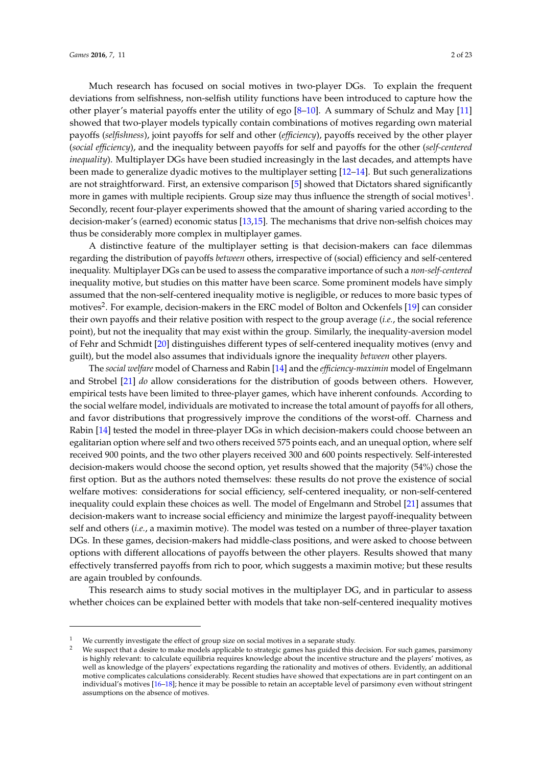Much research has focused on social motives in two-player DGs. To explain the frequent deviations from selfishness, non-selfish utility functions have been introduced to capture how the other player's material payoffs enter the utility of ego [\[8](#page-20-6)[–10\]](#page-20-7). A summary of Schulz and May [\[11\]](#page-20-8) showed that two-player models typically contain combinations of motives regarding own material payoffs (*selfishness*), joint payoffs for self and other (*efficiency*), payoffs received by the other player (*social efficiency*), and the inequality between payoffs for self and payoffs for the other (*self-centered inequality*). Multiplayer DGs have been studied increasingly in the last decades, and attempts have been made to generalize dyadic motives to the multiplayer setting [\[12–](#page-20-9)[14\]](#page-20-10). But such generalizations are not straightforward. First, an extensive comparison [\[5\]](#page-20-4) showed that Dictators shared significantly more in games with multiple recipients. Group size may thus influence the strength of social motives $^1$ . Secondly, recent four-player experiments showed that the amount of sharing varied according to the decision-maker's (earned) economic status [\[13,](#page-20-11)[15\]](#page-21-0). The mechanisms that drive non-selfish choices may thus be considerably more complex in multiplayer games.

A distinctive feature of the multiplayer setting is that decision-makers can face dilemmas regarding the distribution of payoffs *between* others, irrespective of (social) efficiency and self-centered inequality. Multiplayer DGs can be used to assess the comparative importance of such a *non-self-centered* inequality motive, but studies on this matter have been scarce. Some prominent models have simply assumed that the non-self-centered inequality motive is negligible, or reduces to more basic types of motives<sup>2</sup>. For example, decision-makers in the ERC model of Bolton and Ockenfels [\[19\]](#page-21-1) can consider their own payoffs and their relative position with respect to the group average (*i.e.*, the social reference point), but not the inequality that may exist within the group. Similarly, the inequality-aversion model of Fehr and Schmidt [\[20\]](#page-21-2) distinguishes different types of self-centered inequality motives (envy and guilt), but the model also assumes that individuals ignore the inequality *between* other players.

The *social welfare* model of Charness and Rabin [\[14\]](#page-20-10) and the *efficiency-maximin* model of Engelmann and Strobel [\[21\]](#page-21-3) *do* allow considerations for the distribution of goods between others. However, empirical tests have been limited to three-player games, which have inherent confounds. According to the social welfare model, individuals are motivated to increase the total amount of payoffs for all others, and favor distributions that progressively improve the conditions of the worst-off. Charness and Rabin [\[14\]](#page-20-10) tested the model in three-player DGs in which decision-makers could choose between an egalitarian option where self and two others received 575 points each, and an unequal option, where self received 900 points, and the two other players received 300 and 600 points respectively. Self-interested decision-makers would choose the second option, yet results showed that the majority (54%) chose the first option. But as the authors noted themselves: these results do not prove the existence of social welfare motives: considerations for social efficiency, self-centered inequality, or non-self-centered inequality could explain these choices as well. The model of Engelmann and Strobel [\[21\]](#page-21-3) assumes that decision-makers want to increase social efficiency and minimize the largest payoff-inequality between self and others (*i.e.*, a maximin motive). The model was tested on a number of three-player taxation DGs. In these games, decision-makers had middle-class positions, and were asked to choose between options with different allocations of payoffs between the other players. Results showed that many effectively transferred payoffs from rich to poor, which suggests a maximin motive; but these results are again troubled by confounds.

This research aims to study social motives in the multiplayer DG, and in particular to assess whether choices can be explained better with models that take non-self-centered inequality motives

We currently investigate the effect of group size on social motives in a separate study.

We suspect that a desire to make models applicable to strategic games has guided this decision. For such games, parsimony is highly relevant: to calculate equilibria requires knowledge about the incentive structure and the players' motives, as well as knowledge of the players' expectations regarding the rationality and motives of others. Evidently, an additional motive complicates calculations considerably. Recent studies have showed that expectations are in part contingent on an individual's motives [\[16](#page-21-4)[–18\]](#page-21-5); hence it may be possible to retain an acceptable level of parsimony even without stringent assumptions on the absence of motives.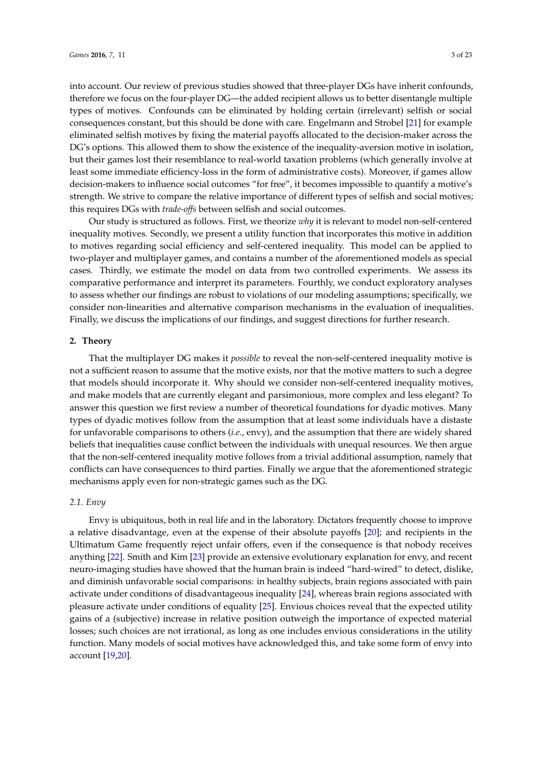into account. Our review of previous studies showed that three-player DGs have inherit confounds, therefore we focus on the four-player DG—the added recipient allows us to better disentangle multiple types of motives. Confounds can be eliminated by holding certain (irrelevant) selfish or social consequences constant, but this should be done with care. Engelmann and Strobel [\[21\]](#page-21-3) for example eliminated selfish motives by fixing the material payoffs allocated to the decision-maker across the DG's options. This allowed them to show the existence of the inequality-aversion motive in isolation, but their games lost their resemblance to real-world taxation problems (which generally involve at least some immediate efficiency-loss in the form of administrative costs). Moreover, if games allow decision-makers to influence social outcomes "for free", it becomes impossible to quantify a motive's strength. We strive to compare the relative importance of different types of selfish and social motives; this requires DGs with *trade-offs* between selfish and social outcomes.

Our study is structured as follows. First, we theorize *why* it is relevant to model non-self-centered inequality motives. Secondly, we present a utility function that incorporates this motive in addition to motives regarding social efficiency and self-centered inequality. This model can be applied to two-player and multiplayer games, and contains a number of the aforementioned models as special cases. Thirdly, we estimate the model on data from two controlled experiments. We assess its comparative performance and interpret its parameters. Fourthly, we conduct exploratory analyses to assess whether our findings are robust to violations of our modeling assumptions; specifically, we consider non-linearities and alternative comparison mechanisms in the evaluation of inequalities. Finally, we discuss the implications of our findings, and suggest directions for further research.

#### **2. Theory**

That the multiplayer DG makes it *possible* to reveal the non-self-centered inequality motive is not a sufficient reason to assume that the motive exists, nor that the motive matters to such a degree that models should incorporate it. Why should we consider non-self-centered inequality motives, and make models that are currently elegant and parsimonious, more complex and less elegant? To answer this question we first review a number of theoretical foundations for dyadic motives. Many types of dyadic motives follow from the assumption that at least some individuals have a distaste for unfavorable comparisons to others (*i.e.*, envy), and the assumption that there are widely shared beliefs that inequalities cause conflict between the individuals with unequal resources. We then argue that the non-self-centered inequality motive follows from a trivial additional assumption, namely that conflicts can have consequences to third parties. Finally we argue that the aforementioned strategic mechanisms apply even for non-strategic games such as the DG.

#### *2.1. Envy*

Envy is ubiquitous, both in real life and in the laboratory. Dictators frequently choose to improve a relative disadvantage, even at the expense of their absolute payoffs [\[20\]](#page-21-2); and recipients in the Ultimatum Game frequently reject unfair offers, even if the consequence is that nobody receives anything [\[22\]](#page-21-6). Smith and Kim [\[23\]](#page-21-7) provide an extensive evolutionary explanation for envy, and recent neuro-imaging studies have showed that the human brain is indeed "hard-wired" to detect, dislike, and diminish unfavorable social comparisons: in healthy subjects, brain regions associated with pain activate under conditions of disadvantageous inequality [\[24\]](#page-21-8), whereas brain regions associated with pleasure activate under conditions of equality [\[25\]](#page-21-9). Envious choices reveal that the expected utility gains of a (subjective) increase in relative position outweigh the importance of expected material losses; such choices are not irrational, as long as one includes envious considerations in the utility function. Many models of social motives have acknowledged this, and take some form of envy into account [\[19,](#page-21-1)[20\]](#page-21-2).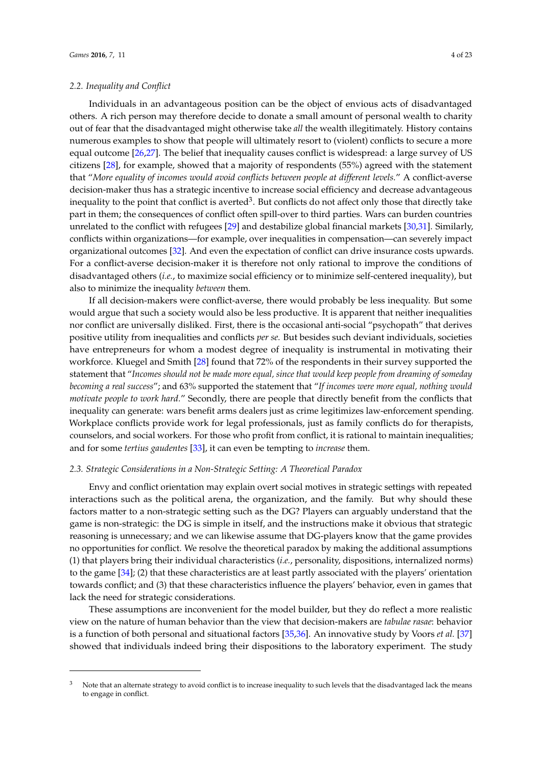#### *2.2. Inequality and Conflict*

Individuals in an advantageous position can be the object of envious acts of disadvantaged others. A rich person may therefore decide to donate a small amount of personal wealth to charity out of fear that the disadvantaged might otherwise take *all* the wealth illegitimately. History contains numerous examples to show that people will ultimately resort to (violent) conflicts to secure a more equal outcome [\[26,](#page-21-10)[27\]](#page-21-11). The belief that inequality causes conflict is widespread: a large survey of US citizens [\[28\]](#page-21-12), for example, showed that a majority of respondents (55%) agreed with the statement that "*More equality of incomes would avoid conflicts between people at different levels.*" A conflict-averse decision-maker thus has a strategic incentive to increase social efficiency and decrease advantageous inequality to the point that conflict is averted<sup>3</sup>. But conflicts do not affect only those that directly take part in them; the consequences of conflict often spill-over to third parties. Wars can burden countries unrelated to the conflict with refugees [\[29\]](#page-21-13) and destabilize global financial markets [\[30](#page-21-14)[,31\]](#page-21-15). Similarly, conflicts within organizations—for example, over inequalities in compensation—can severely impact organizational outcomes [\[32\]](#page-21-16). And even the expectation of conflict can drive insurance costs upwards. For a conflict-averse decision-maker it is therefore not only rational to improve the conditions of disadvantaged others (*i.e.*, to maximize social efficiency or to minimize self-centered inequality), but also to minimize the inequality *between* them.

If all decision-makers were conflict-averse, there would probably be less inequality. But some would argue that such a society would also be less productive. It is apparent that neither inequalities nor conflict are universally disliked. First, there is the occasional anti-social "psychopath" that derives positive utility from inequalities and conflicts *per se.* But besides such deviant individuals, societies have entrepreneurs for whom a modest degree of inequality is instrumental in motivating their workforce. Kluegel and Smith [\[28\]](#page-21-12) found that 72% of the respondents in their survey supported the statement that "*Incomes should not be made more equal, since that would keep people from dreaming of someday becoming a real success*"; and 63% supported the statement that "*If incomes were more equal, nothing would motivate people to work hard.*" Secondly, there are people that directly benefit from the conflicts that inequality can generate: wars benefit arms dealers just as crime legitimizes law-enforcement spending. Workplace conflicts provide work for legal professionals, just as family conflicts do for therapists, counselors, and social workers. For those who profit from conflict, it is rational to maintain inequalities; and for some *tertius gaudentes* [\[33\]](#page-21-17), it can even be tempting to *increase* them.

#### *2.3. Strategic Considerations in a Non-Strategic Setting: A Theoretical Paradox*

Envy and conflict orientation may explain overt social motives in strategic settings with repeated interactions such as the political arena, the organization, and the family. But why should these factors matter to a non-strategic setting such as the DG? Players can arguably understand that the game is non-strategic: the DG is simple in itself, and the instructions make it obvious that strategic reasoning is unnecessary; and we can likewise assume that DG-players know that the game provides no opportunities for conflict. We resolve the theoretical paradox by making the additional assumptions (1) that players bring their individual characteristics (*i.e.*, personality, dispositions, internalized norms) to the game [\[34\]](#page-21-18); (2) that these characteristics are at least partly associated with the players' orientation towards conflict; and (3) that these characteristics influence the players' behavior, even in games that lack the need for strategic considerations.

These assumptions are inconvenient for the model builder, but they do reflect a more realistic view on the nature of human behavior than the view that decision-makers are *tabulae rasae*: behavior is a function of both personal and situational factors [\[35,](#page-21-19)[36\]](#page-21-20). An innovative study by Voors *et al.* [\[37\]](#page-21-21) showed that individuals indeed bring their dispositions to the laboratory experiment. The study

 $3$  Note that an alternate strategy to avoid conflict is to increase inequality to such levels that the disadvantaged lack the means to engage in conflict.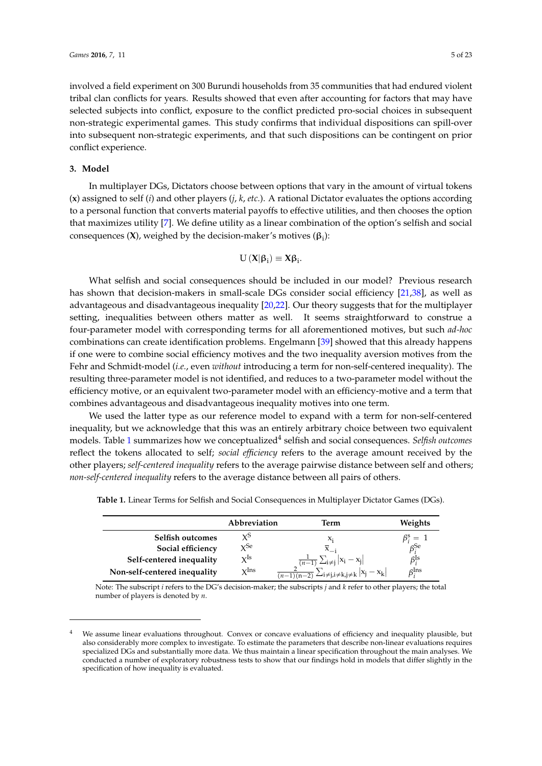involved a field experiment on 300 Burundi households from 35 communities that had endured violent tribal clan conflicts for years. Results showed that even after accounting for factors that may have selected subjects into conflict, exposure to the conflict predicted pro-social choices in subsequent non-strategic experimental games. This study confirms that individual dispositions can spill-over into subsequent non-strategic experiments, and that such dispositions can be contingent on prior conflict experience.

#### **3. Model**

In multiplayer DGs, Dictators choose between options that vary in the amount of virtual tokens (**x**) assigned to self (*i*) and other players (*j*, *k*, *etc.*). A rational Dictator evaluates the options according to a personal function that converts material payoffs to effective utilities, and then chooses the option that maximizes utility [\[7\]](#page-20-12). We define utility as a linear combination of the option's selfish and social consequences  $(X)$ , weighed by the decision-maker's motives  $(β<sub>i</sub>)$ :

$$
U\left( X|\beta_{i}\right) \equiv X\beta_{i}.
$$

What selfish and social consequences should be included in our model? Previous research has shown that decision-makers in small-scale DGs consider social efficiency [\[21,](#page-21-3)[38\]](#page-21-22), as well as advantageous and disadvantageous inequality [\[20](#page-21-2)[,22\]](#page-21-6). Our theory suggests that for the multiplayer setting, inequalities between others matter as well. It seems straightforward to construe a four-parameter model with corresponding terms for all aforementioned motives, but such *ad-hoc* combinations can create identification problems. Engelmann [\[39\]](#page-21-23) showed that this already happens if one were to combine social efficiency motives and the two inequality aversion motives from the Fehr and Schmidt-model (*i.e.*, even *without* introducing a term for non-self-centered inequality). The resulting three-parameter model is not identified, and reduces to a two-parameter model without the efficiency motive, or an equivalent two-parameter model with an efficiency-motive and a term that combines advantageous and disadvantageous inequality motives into one term.

We used the latter type as our reference model to expand with a term for non-self-centered inequality, but we acknowledge that this was an entirely arbitrary choice between two equivalent models. Table [1](#page-4-0) summarizes how we conceptualized<sup>4</sup> selfish and social consequences. *Selfish outcomes* reflect the tokens allocated to self; *social efficiency* refers to the average amount received by the other players; *self-centered inequality* refers to the average pairwise distance between self and others; *non-self-centered inequality* refers to the average distance between all pairs of others.

|                              | Abbreviation     | Term                                                                                                             | Weights                              |
|------------------------------|------------------|------------------------------------------------------------------------------------------------------------------|--------------------------------------|
| Selfish outcomes             | χS               | X:                                                                                                               | $\beta_i^s = 1$                      |
| Social efficiency            | $x^{\text{Se}}$  |                                                                                                                  | $\beta$ <sup>Se</sup>                |
| Self-centered inequality     | $\rm\bf Y^{Is}$  |                                                                                                                  | $\beta_i^{\rm ls}$                   |
| Non-self-centered inequality | $\mathbf{v}$ Ins | $\frac{\frac{1}{(n-1)}\sum_{i\neq j} x_i - x_j }{\frac{2}{(n-1)(n-2)}\sum_{i\neq j,i\neq k,j\neq k} x_j - x_k }$ | $\beta_{\cdot}^{\operatorname{Ins}}$ |

<span id="page-4-0"></span>**Table 1.** Linear Terms for Selfish and Social Consequences in Multiplayer Dictator Games (DGs).

Note: The subscript *i* refers to the DG's decision-maker; the subscripts *j* and *k* refer to other players; the total number of players is denoted by *n*.

We assume linear evaluations throughout. Convex or concave evaluations of efficiency and inequality plausible, but also considerably more complex to investigate. To estimate the parameters that describe non-linear evaluations requires specialized DGs and substantially more data. We thus maintain a linear specification throughout the main analyses. We conducted a number of exploratory robustness tests to show that our findings hold in models that differ slightly in the specification of how inequality is evaluated.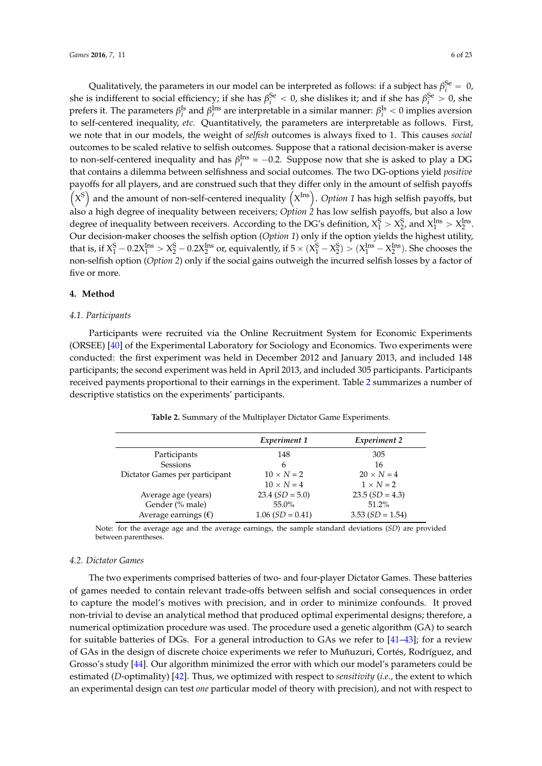Qualitatively, the parameters in our model can be interpreted as follows: if a subject has  $\beta_i^{\text{Se}} = 0$ , she is indifferent to social efficiency; if she has  $\beta_i^{Se} < 0$ , she dislikes it; and if she has  $\beta_i^{Se} > 0$ , she prefers it. The parameters  $β_i^{Is}$  and  $β_i^{Ins}$  are interpretable in a similar manner:  $β_i^{Is} < 0$  implies aversion to self-centered inequality, *etc.* Quantitatively, the parameters are interpretable as follows. First, we note that in our models, the weight of *selfish* outcomes is always fixed to 1. This causes *social* outcomes to be scaled relative to selfish outcomes. Suppose that a rational decision-maker is averse to non-self-centered inequality and has  $\beta_i^{Ins} = -0.2$ . Suppose now that she is asked to play a DG that contains a dilemma between selfishness and social outcomes. The two DG-options yield *positive* payoffs for all players, and are construed such that they differ only in the amount of selfish payoffs ´ ¯ ayoffs for all players, and are construed such that they differ only in the amount of selfish payoffs<br>X<sup>S</sup>) and the amount of non-self-centered inequality (X<sup>Ins</sup>). *Option 1* has high selfish payoffs, but also a high degree of inequality between receivers; *Option 2* has low selfish payoffs, but also a low degree of inequality between receivers. According to the DG's definition,  $X_1^S > X_2^S$ , and  $X_1^{\text{Ins}} > X_2^{\text{Ins}}$ . Our decision-maker chooses the selfish option (*Option 1*) only if the option yields the highest utility, that is, if  $X_1^S - 0.2X_1^{\text{Ins}} > X_2^S - 0.2X_2^{\text{Ins}}$  or, equivalently, if  $5 \times (X_1^S - X_2^S) > (X_1^{\text{Ins}} - X_2^{\text{Ins}})$ . She chooses the non-selfish option (*Option 2*) only if the social gains outweigh the incurred selfish losses by a factor of five or more.

#### **4. Method**

#### *4.1. Participants*

Participants were recruited via the Online Recruitment System for Economic Experiments (ORSEE) [\[40\]](#page-21-24) of the Experimental Laboratory for Sociology and Economics. Two experiments were conducted: the first experiment was held in December 2012 and January 2013, and included 148 participants; the second experiment was held in April 2013, and included 305 participants. Participants received payments proportional to their earnings in the experiment. Table [2](#page-5-0) summarizes a number of descriptive statistics on the experiments' participants.

<span id="page-5-0"></span>

|                                | Experiment 1      | Experiment 2       |
|--------------------------------|-------------------|--------------------|
| Participants                   | 148               | 305                |
| Sessions                       | 6                 | 16                 |
| Dictator Games per participant | $10 \times N = 2$ | $20 \times N = 4$  |
|                                | $10 \times N = 4$ | $1 \times N = 2$   |
| Average age (years)            | $23.4(SD = 5.0)$  | $23.5(SD = 4.3)$   |
| Gender (% male)                | 55.0%             | 51.2%              |
| Average earnings $(\epsilon)$  | $1.06(SD = 0.41)$ | 3.53 $(SD = 1.54)$ |
|                                |                   |                    |

**Table 2.** Summary of the Multiplayer Dictator Game Experiments.

Note: for the average age and the average earnings, the sample standard deviations (*SD*) are provided between parentheses.

#### *4.2. Dictator Games*

The two experiments comprised batteries of two- and four-player Dictator Games. These batteries of games needed to contain relevant trade-offs between selfish and social consequences in order to capture the model's motives with precision, and in order to minimize confounds. It proved non-trivial to devise an analytical method that produced optimal experimental designs; therefore, a numerical optimization procedure was used. The procedure used a genetic algorithm (GA) to search for suitable batteries of DGs. For a general introduction to GAs we refer to [\[41](#page-21-25)[–43\]](#page-22-0); for a review of GAs in the design of discrete choice experiments we refer to Muñuzuri, Cortés, Rodríguez, and Grosso's study [\[44\]](#page-22-1). Our algorithm minimized the error with which our model's parameters could be estimated (*D*-optimality) [\[42\]](#page-21-26). Thus, we optimized with respect to *sensitivity* (*i.e.*, the extent to which an experimental design can test *one* particular model of theory with precision), and not with respect to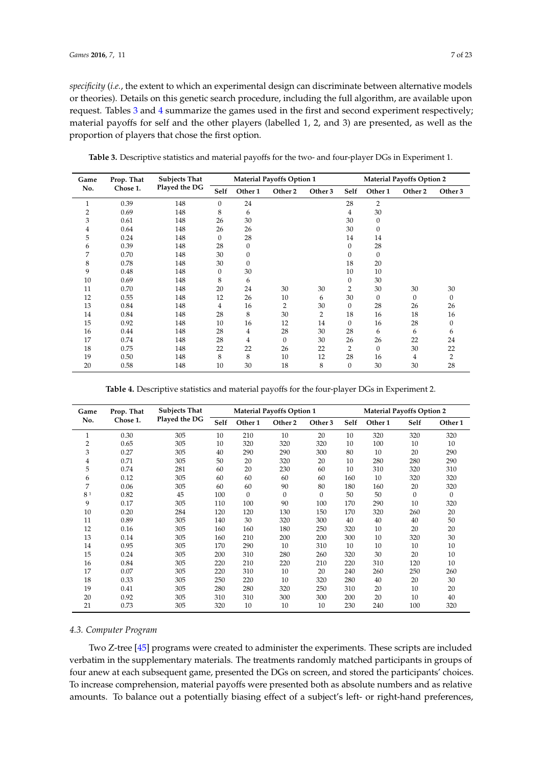*specificity* (*i.e.*, the extent to which an experimental design can discriminate between alternative models or theories). Details on this genetic search procedure, including the full algorithm, are available upon request. Tables [3](#page-6-0) and [4](#page-6-1) summarize the games used in the first and second experiment respectively; material payoffs for self and the other players (labelled 1, 2, and 3) are presented, as well as the proportion of players that chose the first option.

| Game         | Prop. That | <b>Subjects That</b> |              | <b>Material Payoffs Option 1</b> |         |         | <b>Material Payoffs Option 2</b> |                |              |              |  |
|--------------|------------|----------------------|--------------|----------------------------------|---------|---------|----------------------------------|----------------|--------------|--------------|--|
| No.          | Chose 1.   | Played the DG        | Self         | Other 1                          | Other 2 | Other 3 | Self                             | Other 1        | Other 2      | Other 3      |  |
| $\mathbf{1}$ | 0.39       | 148                  | $\mathbf{0}$ | 24                               |         |         | 28                               | $\overline{2}$ |              |              |  |
| 2            | 0.69       | 148                  | 8            | 6                                |         |         | 4                                | 30             |              |              |  |
| 3            | 0.61       | 148                  | 26           | 30                               |         |         | 30                               | $\mathbf{0}$   |              |              |  |
| 4            | 0.64       | 148                  | 26           | 26                               |         |         | 30                               | $\mathbf{0}$   |              |              |  |
| 5            | 0.24       | 148                  | $\mathbf{0}$ | 28                               |         |         | 14                               | 14             |              |              |  |
| 6            | 0.39       | 148                  | 28           | $\boldsymbol{0}$                 |         |         | $\boldsymbol{0}$                 | 28             |              |              |  |
| 7            | 0.70       | 148                  | 30           | 0                                |         |         | $\boldsymbol{0}$                 | $\mathbf{0}$   |              |              |  |
| 8            | 0.78       | 148                  | 30           | $\mathbf{0}$                     |         |         | 18                               | 20             |              |              |  |
| 9            | 0.48       | 148                  | $\mathbf{0}$ | 30                               |         |         | 10                               | 10             |              |              |  |
| 10           | 0.69       | 148                  | 8            | 6                                |         |         | $\boldsymbol{0}$                 | 30             |              |              |  |
| 11           | 0.70       | 148                  | 20           | 24                               | 30      | 30      | 2                                | 30             | 30           | 30           |  |
| 12           | 0.55       | 148                  | 12           | 26                               | 10      | 6       | 30                               | $\mathbf{0}$   | $\mathbf{0}$ | $\mathbf{0}$ |  |
| 13           | 0.84       | 148                  | 4            | 16                               | 2       | 30      | $\boldsymbol{0}$                 | 28             | 26           | 26           |  |
| 14           | 0.84       | 148                  | 28           | 8                                | 30      | 2       | 18                               | 16             | 18           | 16           |  |
| 15           | 0.92       | 148                  | 10           | 16                               | 12      | 14      | $\mathbf{0}$                     | 16             | 28           | $\mathbf{0}$ |  |
| 16           | 0.44       | 148                  | 28           | $\overline{4}$                   | 28      | 30      | 28                               | 6              | 6            | 6            |  |
| 17           | 0.74       | 148                  | 28           | 4                                | 0       | 30      | 26                               | 26             | 22           | 24           |  |
| 18           | 0.75       | 148                  | 22           | 22                               | 26      | 22      | 2                                | $\mathbf{0}$   | 30           | 22           |  |
| 19           | 0.50       | 148                  | 8            | 8                                | 10      | 12      | 28                               | 16             | 4            | 2            |  |
| 20           | 0.58       | 148                  | 10           | 30                               | 18      | 8       | $\boldsymbol{0}$                 | 30             | 30           | 28           |  |

<span id="page-6-0"></span>**Table 3.** Descriptive statistics and material payoffs for the two- and four-player DGs in Experiment 1.

**Table 4.** Descriptive statistics and material payoffs for the four-player DGs in Experiment 2.

<span id="page-6-1"></span>

| Game | Prop. That | <b>Subjects That</b> | <b>Material Payoffs Option 1</b> |         |              | <b>Material Payoffs Option 2</b> |      |         |              |              |
|------|------------|----------------------|----------------------------------|---------|--------------|----------------------------------|------|---------|--------------|--------------|
| No.  | Chose 1.   | Played the DG        | Self                             | Other 1 | Other 2      | Other 3                          | Self | Other 1 | Self         | Other 1      |
| 1    | 0.30       | 305                  | 10                               | 210     | 10           | 20                               | 10   | 320     | 320          | 320          |
| 2    | 0.65       | 305                  | 10                               | 320     | 320          | 320                              | 10   | 100     | 10           | 10           |
| 3    | 0.27       | 305                  | 40                               | 290     | 290          | 300                              | 80   | 10      | 20           | 290          |
| 4    | 0.71       | 305                  | 50                               | 20      | 320          | 20                               | 10   | 280     | 280          | 290          |
| 5    | 0.74       | 281                  | 60                               | 20      | 230          | 60                               | 10   | 310     | 320          | 310          |
| 6    | 0.12       | 305                  | 60                               | 60      | 60           | 60                               | 160  | 10      | 320          | 320          |
| 7    | 0.06       | 305                  | 60                               | 60      | 90           | 80                               | 180  | 160     | 20           | 320          |
| 81   | 0.82       | 45                   | 100                              | 0       | $\mathbf{0}$ | $\Omega$                         | 50   | 50      | $\mathbf{0}$ | $\mathbf{0}$ |
| 9    | 0.17       | 305                  | 110                              | 100     | 90           | 100                              | 170  | 290     | 10           | 320          |
| 10   | 0.20       | 284                  | 120                              | 120     | 130          | 150                              | 170  | 320     | 260          | 20           |
| 11   | 0.89       | 305                  | 140                              | 30      | 320          | 300                              | 40   | 40      | 40           | 50           |
| 12   | 0.16       | 305                  | 160                              | 160     | 180          | 250                              | 320  | 10      | 20           | 20           |
| 13   | 0.14       | 305                  | 160                              | 210     | 200          | 200                              | 300  | 10      | 320          | 30           |
| 14   | 0.95       | 305                  | 170                              | 290     | 10           | 310                              | 10   | 10      | 10           | 10           |
| 15   | 0.24       | 305                  | 200                              | 310     | 280          | 260                              | 320  | 30      | 20           | 10           |
| 16   | 0.84       | 305                  | 220                              | 210     | 220          | 210                              | 220  | 310     | 120          | 10           |
| 17   | 0.07       | 305                  | 220                              | 310     | 10           | 20                               | 240  | 260     | 250          | 260          |
| 18   | 0.33       | 305                  | 250                              | 220     | 10           | 320                              | 280  | 40      | 20           | 30           |
| 19   | 0.41       | 305                  | 280                              | 280     | 320          | 250                              | 310  | 20      | 10           | 20           |
| 20   | 0.92       | 305                  | 310                              | 310     | 300          | 300                              | 200  | 20      | 10           | 40           |
| 21   | 0.73       | 305                  | 320                              | 10      | 10           | 10                               | 230  | 240     | 100          | 320          |

#### *4.3. Computer Program*

Two Z-tree [\[45\]](#page-22-2) programs were created to administer the experiments. These scripts are included verbatim in the supplementary materials. The treatments randomly matched participants in groups of four anew at each subsequent game, presented the DGs on screen, and stored the participants' choices. To increase comprehension, material payoffs were presented both as absolute numbers and as relative amounts. To balance out a potentially biasing effect of a subject's left- or right-hand preferences,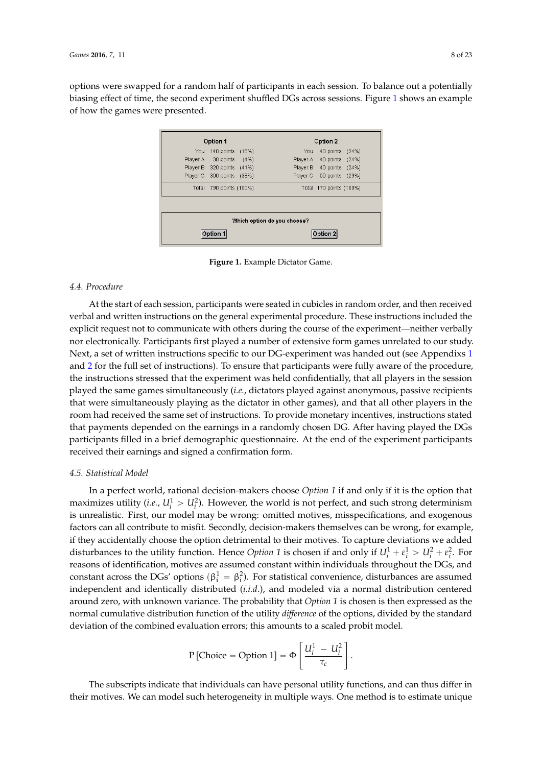options were swapped for a random half of participants in each session. To balance out a potentially biasing effect of time, the second experiment shuffled DGs across sessions. Figure 1 shows an example

| Option 1                   |      |                             | Option 2                  |       |  |  |
|----------------------------|------|-----------------------------|---------------------------|-------|--|--|
| You: 140 points (18%)      |      | You: .                      | 40 points                 | (24%) |  |  |
| Player A: 30 points        | (4%) | Player A:                   | 40 points                 | (24%) |  |  |
| Player B: 320 points (41%) |      |                             | Player B: 40 points (24%) |       |  |  |
| Player C: 300 points (38%) |      |                             | Player C: 50 points       | (29%) |  |  |
| Total: 790 points (100%)   |      |                             | Total: 170 points (100%)  |       |  |  |
|                            |      |                             |                           |       |  |  |
|                            |      | Which option do you choose? |                           |       |  |  |
| Option 1                   |      |                             | Option 2                  |       |  |  |

<span id="page-7-0"></span>of how the games were presented.

shows an example of how the games were presented.

**Figure 1.** Example Dictator Game. **Figure 1.** Example Dictator Game.

#### *4.4. Procedure 4.4. Procedure*

At the start of each session, participants were seated in cubicles in random order, and then received verbal and written instructions on the general experimental procedure. These instructions included the neither verbally nor electronically. Participants first played a number of extensive form games explicit request not to communicate with others during the course of the experiment—neither verbally nor electronically. Participants first played a number of extensive form games unrelated to our study. Next, a set of written instructions specific to our DG-experiment was handed out (see Appendixs [1](#page-15-0) and [2](#page-16-0) for the full set of instructions). To ensure that participants were fully aware of the procedure, passive recipients that were simultaneously playing as the dictator in other games), and that all other the instructions stressed that the experiment was held confidentially, that all players in the session played the same games simultaneously (*i.e.,* dictators played against anonymous, passive recipients that were simultaneously playing as the dictator in other games), and that all other players in the room had received the same set of instructions. To provide monetary incentives, instructions stated *4.5. Statistical Model*  that payments depended on the earnings in a randomly chosen DG. After having played the DGs participants filled in a brief demographic questionnaire. At the end of the experiment participants received their earnings and signed a confirmation form.

#### cal Model contribute to misfit. Secondly, decision-makers themselves can be wrong, for example, if they example, if they are wrong, for example, if they are wrong, for example, if they are wrong, for example, if they are w *4.5. Statistical Model*

accidentally choose the option detrimental to their motives. To capture deviations we added In a perfect world, rational decision-makers choose *Option 1* if and only if it is the option that maximizes utility (*i.e.*,  $U_i^1 > U_i^2$ ). However, the world is not perfect, and such strong determinism is unrealistic. First, our model may be wrong: omitted motives, misspecifications, and exogenous independent and identically distributed (*i.i.d*.), and modeled via a normal distribution centered around factors can all contribute to misfit. Secondly, decision-makers themselves can be wrong, for example, if they accidentally choose the option detrimental to their motives. To capture deviations we added disturbances to the utility function. Hence *Option* 1 is chosen if and only if  $U_i^1 + \varepsilon_i^1 > U_i^2 + \varepsilon_i^2$ . For reasons of identification, motives are assumed constant within individuals throughout the DGs, and constant across the DGs' options ( $\beta_i^1 = \beta_i^2$ ). For statistical convenience, disturbances are assumed independent and identically distributed (*i.i.d.*), and modeled via a normal distribution centered around zero, with unknown variance. The probability that *Option 1* is chosen is then expressed as the normal cumulative distribution function of the utility *difference* of the options, divided by the standard deviation of the combined evaluation errors; this amounts to a scaled probit model.

$$
P\left[\text{Choice} = \text{Option 1}\right] = \Phi\left[\frac{U_i^1 - U_i^2}{\tau_c}\right].
$$

The subscripts indicate that individuals can have personal utility functions, and can thus differ in their motives. We can model such heterogeneity in multiple ways. One method is to estimate unique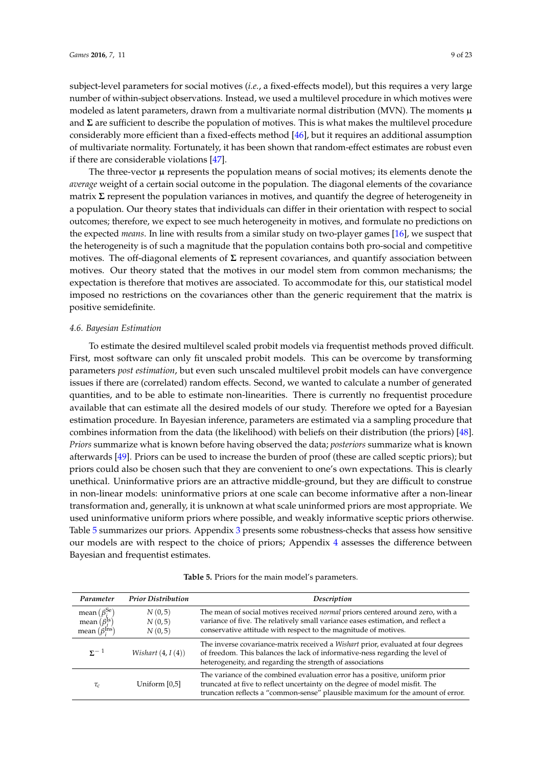subject-level parameters for social motives (*i.e.*, a fixed-effects model), but this requires a very large number of within-subject observations. Instead, we used a multilevel procedure in which motives were modeled as latent parameters, drawn from a multivariate normal distribution (MVN). The moments  $\mu$ and **Σ** are sufficient to describe the population of motives. This is what makes the multilevel procedure considerably more efficient than a fixed-effects method [\[46\]](#page-22-3), but it requires an additional assumption of multivariate normality. Fortunately, it has been shown that random-effect estimates are robust even if there are considerable violations [\[47\]](#page-22-4).

The three-vector  $\mu$  represents the population means of social motives; its elements denote the *average* weight of a certain social outcome in the population. The diagonal elements of the covariance matrix **Σ** represent the population variances in motives, and quantify the degree of heterogeneity in a population. Our theory states that individuals can differ in their orientation with respect to social outcomes; therefore, we expect to see much heterogeneity in motives, and formulate no predictions on the expected *means*. In line with results from a similar study on two-player games [\[16\]](#page-21-4), we suspect that the heterogeneity is of such a magnitude that the population contains both pro-social and competitive motives. The off-diagonal elements of **Σ** represent covariances, and quantify association between motives. Our theory stated that the motives in our model stem from common mechanisms; the expectation is therefore that motives are associated. To accommodate for this, our statistical model imposed no restrictions on the covariances other than the generic requirement that the matrix is positive semidefinite.

#### *4.6. Bayesian Estimation*

To estimate the desired multilevel scaled probit models via frequentist methods proved difficult. First, most software can only fit unscaled probit models. This can be overcome by transforming parameters *post estimation*, but even such unscaled multilevel probit models can have convergence issues if there are (correlated) random effects. Second, we wanted to calculate a number of generated quantities, and to be able to estimate non-linearities. There is currently no frequentist procedure available that can estimate all the desired models of our study. Therefore we opted for a Bayesian estimation procedure. In Bayesian inference, parameters are estimated via a sampling procedure that combines information from the data (the likelihood) with beliefs on their distribution (the priors) [\[48\]](#page-22-5). *Priors* summarize what is known before having observed the data; *posteriors* summarize what is known afterwards [\[49\]](#page-22-6). Priors can be used to increase the burden of proof (these are called sceptic priors); but priors could also be chosen such that they are convenient to one's own expectations. This is clearly unethical. Uninformative priors are an attractive middle-ground, but they are difficult to construe in non-linear models: uninformative priors at one scale can become informative after a non-linear transformation and, generally, it is unknown at what scale uninformed priors are most appropriate. We used uninformative uniform priors where possible, and weakly informative sceptic priors otherwise. Table [5](#page-8-0) summarizes our priors. Appendix [3](#page-18-0) presents some robustness-checks that assess how sensitive our models are with respect to the choice of priors; Appendix [4](#page-19-0) assesses the difference between Bayesian and frequentist estimates.

<span id="page-8-0"></span>

| Parameter                     | <b>Prior Distribution</b> | Description                                                                                                                                                                                                                                   |
|-------------------------------|---------------------------|-----------------------------------------------------------------------------------------------------------------------------------------------------------------------------------------------------------------------------------------------|
| mean $(\beta_i^{\text{Se}})$  | N(0,5)                    | The mean of social motives received <i>normal</i> priors centered around zero, with a                                                                                                                                                         |
| mean $(\beta_i^{\text{Is}})$  | N(0,5)                    | variance of five. The relatively small variance eases estimation, and reflect a                                                                                                                                                               |
| mean $(\beta_i^{\text{Ins}})$ | N(0,5)                    | conservative attitude with respect to the magnitude of motives.                                                                                                                                                                               |
| $\Sigma^{-1}$                 | Wishart $(4, I(4))$       | The inverse covariance-matrix received a Wishart prior, evaluated at four degrees<br>of freedom. This balances the lack of informative-ness regarding the level of<br>heterogeneity, and regarding the strength of associations               |
| $\tau_c$                      | Uniform [0,5]             | The variance of the combined evaluation error has a positive, uniform prior<br>truncated at five to reflect uncertainty on the degree of model misfit. The<br>truncation reflects a "common-sense" plausible maximum for the amount of error. |

| Table 5. Priors for the main model's parameters. |  |  |
|--------------------------------------------------|--|--|
|--------------------------------------------------|--|--|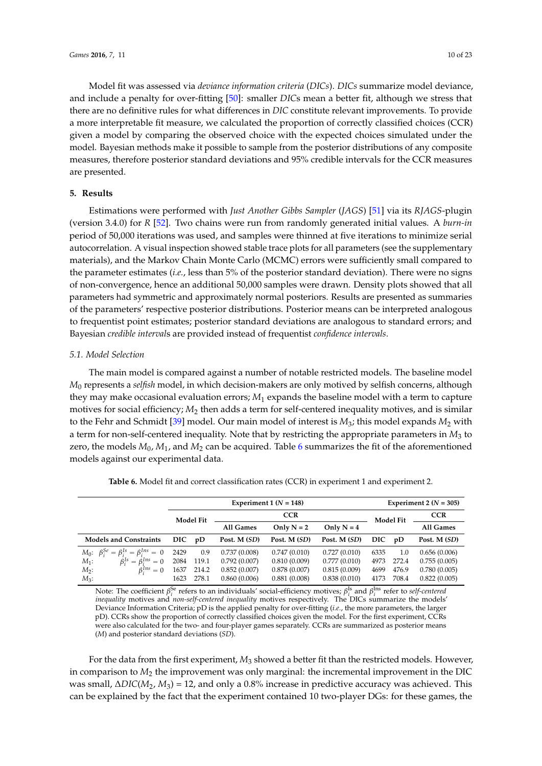Model fit was assessed via *deviance information criteria* (*DICs*). *DICs* summarize model deviance, and include a penalty for over-fitting [\[50\]](#page-22-7): smaller *DIC*s mean a better fit, although we stress that there are no definitive rules for what differences in *DIC* constitute relevant improvements. To provide a more interpretable fit measure, we calculated the proportion of correctly classified choices (CCR) given a model by comparing the observed choice with the expected choices simulated under the model. Bayesian methods make it possible to sample from the posterior distributions of any composite measures, therefore posterior standard deviations and 95% credible intervals for the CCR measures are presented.

#### **5. Results**

Estimations were performed with *Just Another Gibbs Sampler* (*JAGS*) [\[51\]](#page-22-8) via its *RJAGS*-plugin (version 3.4.0) for *R* [\[52\]](#page-22-9). Two chains were run from randomly generated initial values. A *burn-in* period of 50,000 iterations was used, and samples were thinned at five iterations to minimize serial autocorrelation. A visual inspection showed stable trace plots for all parameters (see the supplementary materials), and the Markov Chain Monte Carlo (MCMC) errors were sufficiently small compared to the parameter estimates (*i.e.*, less than 5% of the posterior standard deviation). There were no signs of non-convergence, hence an additional 50,000 samples were drawn. Density plots showed that all parameters had symmetric and approximately normal posteriors. Results are presented as summaries of the parameters' respective posterior distributions. Posterior means can be interpreted analogous to frequentist point estimates; posterior standard deviations are analogous to standard errors; and Bayesian *credible interval*s are provided instead of frequentist *confidence intervals*.

#### *5.1. Model Selection*

The main model is compared against a number of notable restricted models. The baseline model *M*<sup>0</sup> represents a *selfish* model, in which decision-makers are only motived by selfish concerns, although they may make occasional evaluation errors; *M*<sup>1</sup> expands the baseline model with a term to capture motives for social efficiency; *M*<sup>2</sup> then adds a term for self-centered inequality motives, and is similar to the Fehr and Schmidt [\[39\]](#page-21-23) model. Our main model of interest is  $M_3$ ; this model expands  $M_2$  with a term for non-self-centered inequality. Note that by restricting the appropriate parameters in  $M_3$  to zero, the models *M*0, *M*1, and *M*<sup>2</sup> can be acquired. Table [6](#page-9-0) summarizes the fit of the aforementioned models against our experimental data.

<span id="page-9-0"></span>

|                                                           |      | Experiment 1 $(N = 148)$ |              |              |              |      |                  | Experiment 2 ( $N = 305$ ) |  |  |  |
|-----------------------------------------------------------|------|--------------------------|--------------|--------------|--------------|------|------------------|----------------------------|--|--|--|
| <b>Model Fit</b>                                          |      |                          | <b>CCR</b>   |              |              |      | <b>Model Fit</b> | <b>CCR</b>                 |  |  |  |
|                                                           |      |                          | All Games    | Only $N = 2$ | Only $N = 4$ |      |                  | All Games                  |  |  |  |
| <b>Models and Constraints</b>                             | DIC  | pD                       | Post. M (SD) | Post. M (SD) | Post. M (SD) | DIC. | pD               | Post. M (SD)               |  |  |  |
| $M_0$ : $\beta_i^{Se} = \beta_i^{Is} = \beta_i^{Ins} = 0$ | 2429 | 0.9                      | 0.737(0.008) | 0.747(0.010) | 0.727(0.010) | 6335 | 1.0              | 0.656(0.006)               |  |  |  |
| $\beta_i^{Is} = \beta_i^{Ins} = 0$<br>$M_1$ :             | 2084 | 119.1                    | 0.792(0.007) | 0.810(0.009) | 0.777(0.010) | 4973 | 272.4            | 0.755(0.005)               |  |  |  |
| $\beta_1^{Ins} = 0$<br>$M_2$ :                            | 1637 | 214.2                    | 0.852(0.007) | 0.878(0.007) | 0.815(0.009) | 4699 | 476.9            | 0.780(0.005)               |  |  |  |
| $M_3$ :                                                   | 1623 | 278.1                    | 0.860(0.006) | 0.881(0.008) | 0.838(0.010) | 4173 | 708.4            | 0.822(0.005)               |  |  |  |

**Table 6.** Model fit and correct classification rates (CCR) in experiment 1 and experiment 2.

Note: The coefficient *β*<sup>Se</sup> refers to an individuals' social-efficiency motives; *β*<sup>Is</sup> and *β*<sup>Ins</sup> refer to *self-centered inequality* motives and *non-self-centered inequality* motives respectively. The DICs summarize the models' Deviance Information Criteria; pD is the applied penalty for over-fitting (*i.e.*, the more parameters, the larger pD). CCRs show the proportion of correctly classified choices given the model. For the first experiment, CCRs were also calculated for the two- and four-player games separately. CCRs are summarized as posterior means (*M*) and posterior standard deviations (*SD*).

For the data from the first experiment, *M*<sup>3</sup> showed a better fit than the restricted models. However, in comparison to *M*<sup>2</sup> the improvement was only marginal: the incremental improvement in the DIC was small, ∆*DIC*(*M*2, *M*3) = 12, and only a 0.8% increase in predictive accuracy was achieved. This can be explained by the fact that the experiment contained 10 two-player DGs: for these games, the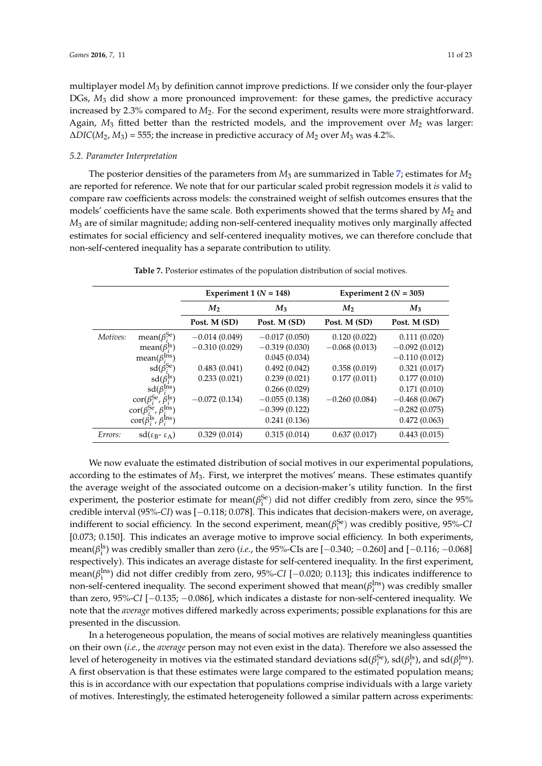multiplayer model *M*<sup>3</sup> by definition cannot improve predictions. If we consider only the four-player DGs,  $M_3$  did show a more pronounced improvement: for these games, the predictive accuracy increased by 2.3% compared to *M*2. For the second experiment, results were more straightforward. Again,  $M_3$  fitted better than the restricted models, and the improvement over  $M_2$  was larger:  $\Delta DIC(M_2, M_3) = 555$ ; the increase in predictive accuracy of  $M_2$  over  $M_3$  was 4.2%.

#### *5.2. Parameter Interpretation*

The posterior densities of the parameters from *M*<sup>3</sup> are summarized in Table [7;](#page-10-0) estimates for *M*<sup>2</sup> are reported for reference. We note that for our particular scaled probit regression models it *is* valid to compare raw coefficients across models: the constrained weight of selfish outcomes ensures that the models' coefficients have the same scale. Both experiments showed that the terms shared by  $M_2$  and *M*<sup>3</sup> are of similar magnitude; adding non-self-centered inequality motives only marginally affected estimates for social efficiency and self-centered inequality motives, we can therefore conclude that non-self-centered inequality has a separate contribution to utility.

<span id="page-10-0"></span>

|          |                                                         | Experiment 1 ( $N = 148$ ) |                 | Experiment 2 ( $N = 305$ ) |                 |  |  |
|----------|---------------------------------------------------------|----------------------------|-----------------|----------------------------|-----------------|--|--|
|          |                                                         | $M_{2}$                    | $M_3$           | $M_{2}$                    | $M_3$           |  |  |
|          |                                                         | Post. M (SD)               | Post. M (SD)    | Post. M (SD)               | Post. M (SD)    |  |  |
| Motives: | mean( $\beta_i^{Se}$ )                                  | $-0.014(0.049)$            | $-0.017(0.050)$ | 0.120(0.022)               | 0.111(0.020)    |  |  |
|          | mean( $\beta_i^{\text{Is}}$ )                           | $-0.310(0.029)$            | $-0.319(0.030)$ | $-0.068(0.013)$            | $-0.092(0.012)$ |  |  |
|          | mean( $\beta_i^{\text{Ins}}$ )                          |                            | 0.045(0.034)    |                            | $-0.110(0.012)$ |  |  |
|          | $sd(\beta_i^{Se})$                                      | 0.483(0.041)               | 0.492(0.042)    | 0.358(0.019)               | 0.321(0.017)    |  |  |
|          | $sd(\beta_i^{Is})$                                      | 0.233(0.021)               | 0.239(0.021)    | 0.177(0.011)               | 0.177(0.010)    |  |  |
|          | $sd(\beta_i^{Ins})$                                     |                            | 0.266(0.029)    |                            | 0.171(0.010)    |  |  |
|          | $\text{cor}(\beta_i^{\text{Se}}, \beta_i^{\text{Is}})$  | $-0.072(0.134)$            | $-0.055(0.138)$ | $-0.260(0.084)$            | $-0.468(0.067)$ |  |  |
|          | $\text{cor}(\beta_i^{\text{Se}}, \beta_i^{\text{Ins}})$ |                            | $-0.399(0.122)$ |                            | $-0.282(0.075)$ |  |  |
|          | $\text{cor}(\beta_i^{\text{Is}}, \beta_i^{\text{Ins}})$ |                            | 0.241(0.136)    |                            | 0.472(0.063)    |  |  |
| Errors:  | $sd(\epsilon_{B} - \epsilon_{A})$                       | 0.329(0.014)               | 0.315(0.014)    | 0.637(0.017)               | 0.443(0.015)    |  |  |

**Table 7.** Posterior estimates of the population distribution of social motives.

We now evaluate the estimated distribution of social motives in our experimental populations, according to the estimates of *M*3. First, we interpret the motives' means. These estimates quantify the average weight of the associated outcome on a decision-maker's utility function. In the first experiment, the posterior estimate for mean( $\beta_i^{\text{Se}}$ ) did not differ credibly from zero, since the 95% credible interval (95%-*CI*) was [-0.118; 0.078]. This indicates that decision-makers were, on average, indifferent to social efficiency. In the second experiment, mean $(\beta_i^{\rm Se})$  was credibly positive, 95%-*Cl* [0.073; 0.150]. This indicates an average motive to improve social efficiency. In both experiments, mean(β<sup>Is</sup>) was credibly smaller than zero (*i.e.*, the 95%-CIs are [ $-0.340$ ;  $-0.260$ ] and [ $-0.116$ ;  $-0.068$ ] respectively). This indicates an average distaste for self-centered inequality. In the first experiment, mean( $\beta_i^{Ins}$ ) did not differ credibly from zero, 95%-*CI* [ $-0.020$ ; 0.113]; this indicates indifference to non-self-centered inequality. The second experiment showed that mean( $\beta_i^{\text{Ins}}$ ) was credibly smaller than zero, 95%-CI [-0.135; -0.086], which indicates a distaste for non-self-centered inequality. We note that the *average* motives differed markedly across experiments; possible explanations for this are presented in the discussion.

In a heterogeneous population, the means of social motives are relatively meaningless quantities on their own (*i.e.*, the *average* person may not even exist in the data). Therefore we also assessed the level of heterogeneity in motives via the estimated standard deviations  $sd(\beta_i^{Se}), sd(\beta_i^{Is}),$  and  $sd(\beta_i^{Ins}).$ A first observation is that these estimates were large compared to the estimated population means; this is in accordance with our expectation that populations comprise individuals with a large variety of motives. Interestingly, the estimated heterogeneity followed a similar pattern across experiments: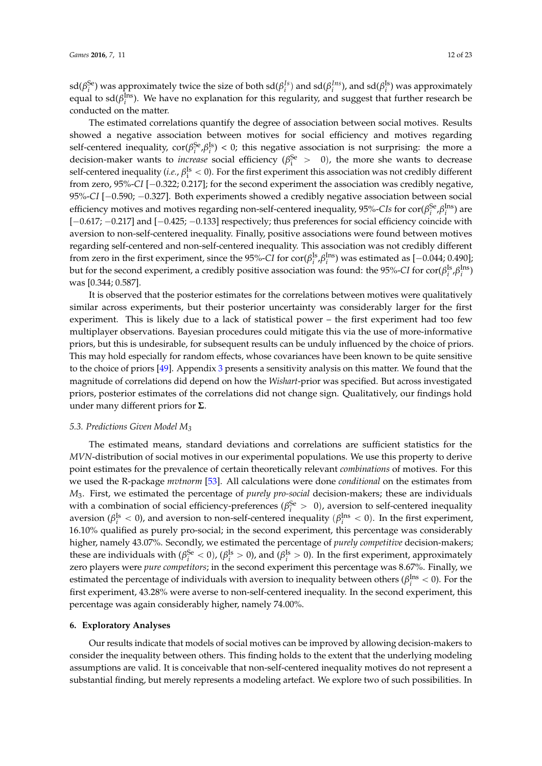$sd(\beta_i^{Se})$  was approximately twice the size of both  $sd(\beta_i^{Is})$  and  $sd(\beta_i^{Ins})$ , and  $sd(\beta_i^{Is})$  was approximately equal to  $sd(\beta^{\text{Ins}}_i)$ . We have no explanation for this regularity, and suggest that further research be conducted on the matter.

The estimated correlations quantify the degree of association between social motives. Results showed a negative association between motives for social efficiency and motives regarding self-centered inequality,  $\text{cor}(\beta_i^{\text{Se}}, \beta_i^{\text{Is}}) < 0$ ; this negative association is not surprising: the more a decision-maker wants to *increase* social efficiency ( $\beta_i^{Se} > 0$ ), the more she wants to decrease self-centered inequality (*i.e.*,  $\beta_i^{Is} < 0$ ). For the first experiment this association was not credibly different from zero, 95%-*CI* [-0.322; 0.217]; for the second experiment the association was credibly negative, 95%-*CI* [-0.590; -0.327]. Both experiments showed a credibly negative association between social efficiency motives and motives regarding non-self-centered inequality, 95%-*CIs* for  $\text{cor}(\beta_i^{\text{Se}}, \beta_i^{\text{Ins}})$  are  $[-0.617, -0.217]$  and  $[-0.425, -0.133]$  respectively; thus preferences for social efficiency coincide with aversion to non-self-centered inequality. Finally, positive associations were found between motives regarding self-centered and non-self-centered inequality. This association was not credibly different from zero in the first experiment, since the 95%-*CI* for  $\text{cor}(\beta_i^{\text{Is}}, \beta_i^{\text{Ins}})$  was estimated as  $[-0.044; 0.490]$ ; but for the second experiment, a credibly positive association was found: the 95%-*CI* for  $\text{cor}(\beta_i^{\text{Is}},\beta_i^{\text{Ins}})$ was [0.344; 0.587].

It is observed that the posterior estimates for the correlations between motives were qualitatively similar across experiments, but their posterior uncertainty was considerably larger for the first experiment. This is likely due to a lack of statistical power – the first experiment had too few multiplayer observations. Bayesian procedures could mitigate this via the use of more-informative priors, but this is undesirable, for subsequent results can be unduly influenced by the choice of priors. This may hold especially for random effects, whose covariances have been known to be quite sensitive to the choice of priors [\[49\]](#page-22-6). Appendix [3](#page-18-0) presents a sensitivity analysis on this matter. We found that the magnitude of correlations did depend on how the *Wishart*-prior was specified. But across investigated priors, posterior estimates of the correlations did not change sign. Qualitatively, our findings hold under many different priors for **Σ**.

#### *5.3. Predictions Given Model M<sup>3</sup>*

The estimated means, standard deviations and correlations are sufficient statistics for the *MVN*-distribution of social motives in our experimental populations. We use this property to derive point estimates for the prevalence of certain theoretically relevant *combinations* of motives. For this we used the R-package *mvtnorm* [\[53\]](#page-22-10). All calculations were done *conditional* on the estimates from *M*3. First, we estimated the percentage of *purely pro-social* decision-makers; these are individuals with a combination of social efficiency-preferences ( $\beta_i^{Se} > 0$ ), aversion to self-centered inequality aversion ( $\beta_i^{Is} < 0$ ), and aversion to non-self-centered inequality ( $\beta_i^{Ins} < 0$ ). In the first experiment, 16.10% qualified as purely pro-social; in the second experiment, this percentage was considerably higher, namely 43.07%. Secondly, we estimated the percentage of *purely competitive* decision-makers; these are individuals with  $(\beta_i^{Se} < 0)$ ,  $(\beta_i^{Is} > 0)$ , and  $(\beta_i^{Is} > 0)$ . In the first experiment, approximately zero players were *pure competitors*; in the second experiment this percentage was 8.67%. Finally, we estimated the percentage of individuals with aversion to inequality between others ( $\beta_i^{\text{Ins}} < 0$ ). For the first experiment, 43.28% were averse to non-self-centered inequality. In the second experiment, this percentage was again considerably higher, namely 74.00%.

#### **6. Exploratory Analyses**

Our results indicate that models of social motives can be improved by allowing decision-makers to consider the inequality between others. This finding holds to the extent that the underlying modeling assumptions are valid. It is conceivable that non-self-centered inequality motives do not represent a substantial finding, but merely represents a modeling artefact. We explore two of such possibilities. In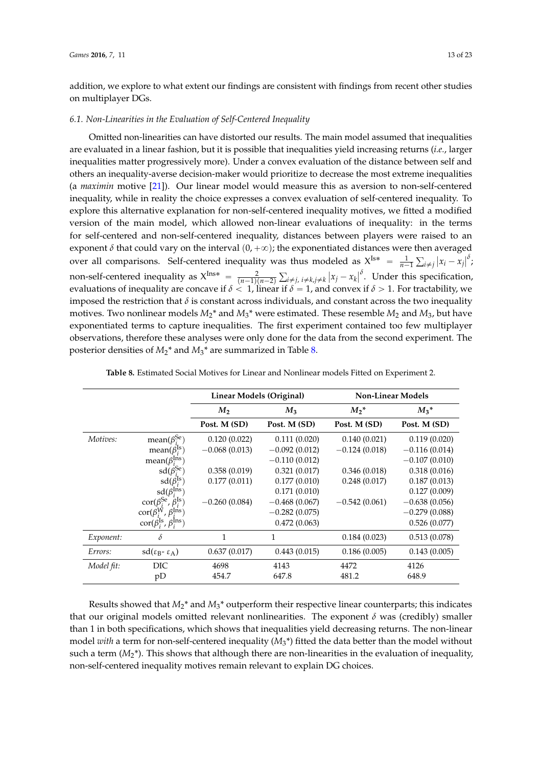addition, we explore to what extent our findings are consistent with findings from recent other studies on multiplayer DGs.

#### *6.1. Non-Linearities in the Evaluation of Self-Centered Inequality*

Omitted non-linearities can have distorted our results. The main model assumed that inequalities are evaluated in a linear fashion, but it is possible that inequalities yield increasing returns (*i.e.*, larger inequalities matter progressively more). Under a convex evaluation of the distance between self and others an inequality-averse decision-maker would prioritize to decrease the most extreme inequalities (a *maximin* motive [\[21\]](#page-21-3)). Our linear model would measure this as aversion to non-self-centered inequality, while in reality the choice expresses a convex evaluation of self-centered inequality. To explore this alternative explanation for non-self-centered inequality motives, we fitted a modified version of the main model, which allowed non-linear evaluations of inequality: in the terms for self-centered and non-self-centered inequality, distances between players were raised to an exponent  $\delta$  that could vary on the interval  $(0, +\infty)$ ; the exponentiated distances were then averaged over all comparisons. Self-centered inequality was thus modeled as  $X^{Is*} = \frac{1}{n-1} \sum_{i \neq j} |x_i - x_j|^{\delta}$ ; non-self-centered inequality as  $X^{\text{Ins}*} = \frac{2}{(n-1)(n-2)}$ ř *i*‰*j*, *i*‰*k*,*j*‰*k*  $\left|x_j - x_k\right|^\delta$ . Under this specification, evaluations of inequality are concave if  $\delta < 1$ , linear if  $\delta = 1$ , and convex if  $\delta > 1$ . For tractability, we imposed the restriction that  $\delta$  is constant across individuals, and constant across the two inequality motives. Two nonlinear models  $M_2$ <sup>\*</sup> and  $M_3$ <sup>\*</sup> were estimated. These resemble  $M_2$  and  $M_3$ , but have exponentiated terms to capture inequalities. The first experiment contained too few multiplayer observations, therefore these analyses were only done for the data from the second experiment. The posterior densities of *M*2\* and *M*3\* are summarized in Table [8.](#page-12-0)

<span id="page-12-0"></span>

|            |                                                         | Linear Models (Original) |                 | <b>Non-Linear Models</b> |                 |  |
|------------|---------------------------------------------------------|--------------------------|-----------------|--------------------------|-----------------|--|
|            |                                                         | M <sub>2</sub>           | $M_3$           | $M_2^*$                  | $M_3^*$         |  |
|            |                                                         | Post. M (SD)             | Post. M (SD)    | Post. M (SD)             | Post. M (SD)    |  |
| Motives:   | mean( $\beta_i^{\text{Se}}$ )                           | 0.120(0.022)             | 0.111(0.020)    | 0.140(0.021)             | 0.119(0.020)    |  |
|            | mean( $\beta_i^{\text{ls}}$ )                           | $-0.068(0.013)$          | $-0.092(0.012)$ | $-0.124(0.018)$          | $-0.116(0.014)$ |  |
|            | mean( $\beta_i^{\text{Ins}}$ )                          |                          | $-0.110(0.012)$ |                          | $-0.107(0.010)$ |  |
|            | $sd(\beta_i^{Se})$                                      | 0.358(0.019)             | 0.321(0.017)    | 0.346(0.018)             | 0.318(0.016)    |  |
|            | $sd(\beta_i^{Is})$                                      | 0.177(0.011)             | 0.177(0.010)    | 0.248(0.017)             | 0.187(0.013)    |  |
|            | $sd(\beta_i^{\text{Ins}})$                              |                          | 0.171(0.010)    |                          | 0.127(0.009)    |  |
|            | $\text{cor}(\beta_i^{\text{Se}}, \beta_i^{\text{Is}})$  | $-0.260(0.084)$          | $-0.468(0.067)$ | $-0.542(0.061)$          | $-0.638(0.056)$ |  |
|            | $\text{cor}(\beta_i^{\text{W}}, \beta_i^{\text{Ins}})$  |                          | $-0.282(0.075)$ |                          | $-0.279(0.088)$ |  |
|            | $\text{cor}(\beta_i^{\text{Is}}, \beta_i^{\text{Ins}})$ |                          | 0.472(0.063)    |                          | 0.526(0.077)    |  |
| Exponent:  | δ                                                       | 1                        | 1               | 0.184(0.023)             | 0.513(0.078)    |  |
| Errors:    | $sd(\epsilon_B - \epsilon_A)$                           | 0.637(0.017)             | 0.443(0.015)    | 0.186(0.005)             | 0.143(0.005)    |  |
| Model fit: | DIC                                                     | 4698                     | 4143            | 4472                     | 4126            |  |
|            | pD                                                      | 454.7                    | 647.8           | 481.2                    | 648.9           |  |

| Table 8. Estimated Social Motives for Linear and Nonlinear models Fitted on Experiment 2. |
|-------------------------------------------------------------------------------------------|
|-------------------------------------------------------------------------------------------|

Results showed that  $M_2^*$  and  $M_3^*$  outperform their respective linear counterparts; this indicates that our original models omitted relevant nonlinearities. The exponent  $\delta$  was (credibly) smaller than 1 in both specifications, which shows that inequalities yield decreasing returns. The non-linear model *with* a term for non-self-centered inequality (*M*3\*) fitted the data better than the model without such a term  $(M_2^*)$ . This shows that although there are non-linearities in the evaluation of inequality, non-self-centered inequality motives remain relevant to explain DG choices.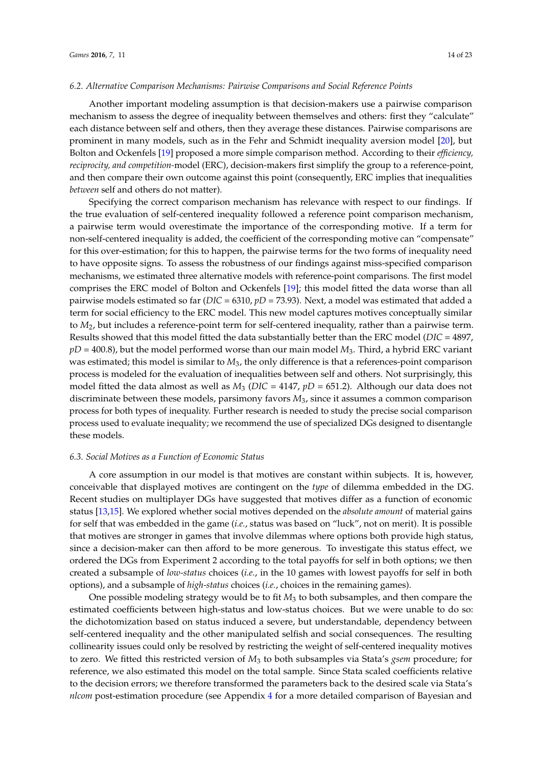#### *6.2. Alternative Comparison Mechanisms: Pairwise Comparisons and Social Reference Points*

Another important modeling assumption is that decision-makers use a pairwise comparison mechanism to assess the degree of inequality between themselves and others: first they "calculate" each distance between self and others, then they average these distances. Pairwise comparisons are prominent in many models, such as in the Fehr and Schmidt inequality aversion model [\[20\]](#page-21-2), but Bolton and Ockenfels [\[19\]](#page-21-1) proposed a more simple comparison method. According to their *efficiency, reciprocity, and competition-*model (ERC), decision-makers first simplify the group to a reference-point, and then compare their own outcome against this point (consequently, ERC implies that inequalities *between* self and others do not matter).

Specifying the correct comparison mechanism has relevance with respect to our findings. If the true evaluation of self-centered inequality followed a reference point comparison mechanism, a pairwise term would overestimate the importance of the corresponding motive. If a term for non-self-centered inequality is added, the coefficient of the corresponding motive can "compensate" for this over-estimation; for this to happen, the pairwise terms for the two forms of inequality need to have opposite signs. To assess the robustness of our findings against miss-specified comparison mechanisms, we estimated three alternative models with reference-point comparisons. The first model comprises the ERC model of Bolton and Ockenfels [\[19\]](#page-21-1); this model fitted the data worse than all pairwise models estimated so far (*DIC* = 6310, *pD* = 73.93). Next, a model was estimated that added a term for social efficiency to the ERC model. This new model captures motives conceptually similar to *M*2, but includes a reference-point term for self-centered inequality, rather than a pairwise term. Results showed that this model fitted the data substantially better than the ERC model (*DIC* = 4897, *pD* = 400.8), but the model performed worse than our main model *M*3. Third, a hybrid ERC variant was estimated; this model is similar to  $M_3$ , the only difference is that a references-point comparison process is modeled for the evaluation of inequalities between self and others. Not surprisingly, this model fitted the data almost as well as  $M_3$  (*DIC* = 4147,  $pD = 651.2$ ). Although our data does not discriminate between these models, parsimony favors *M*3, since it assumes a common comparison process for both types of inequality. Further research is needed to study the precise social comparison process used to evaluate inequality; we recommend the use of specialized DGs designed to disentangle these models.

#### *6.3. Social Motives as a Function of Economic Status*

A core assumption in our model is that motives are constant within subjects. It is, however, conceivable that displayed motives are contingent on the *type* of dilemma embedded in the DG. Recent studies on multiplayer DGs have suggested that motives differ as a function of economic status [\[13,](#page-20-11)[15\]](#page-21-0). We explored whether social motives depended on the *absolute amount* of material gains for self that was embedded in the game (*i.e.*, status was based on "luck", not on merit). It is possible that motives are stronger in games that involve dilemmas where options both provide high status, since a decision-maker can then afford to be more generous. To investigate this status effect, we ordered the DGs from Experiment 2 according to the total payoffs for self in both options; we then created a subsample of *low-status* choices (*i.e.*, in the 10 games with lowest payoffs for self in both options), and a subsample of *high-status* choices (*i.e.*, choices in the remaining games).

One possible modeling strategy would be to fit *M*<sup>3</sup> to both subsamples, and then compare the estimated coefficients between high-status and low-status choices. But we were unable to do so: the dichotomization based on status induced a severe, but understandable, dependency between self-centered inequality and the other manipulated selfish and social consequences. The resulting collinearity issues could only be resolved by restricting the weight of self-centered inequality motives to zero. We fitted this restricted version of *M*<sup>3</sup> to both subsamples via Stata's *gsem* procedure; for reference, we also estimated this model on the total sample. Since Stata scaled coefficients relative to the decision errors; we therefore transformed the parameters back to the desired scale via Stata's *nlcom* post-estimation procedure (see Appendix [4](#page-19-0) for a more detailed comparison of Bayesian and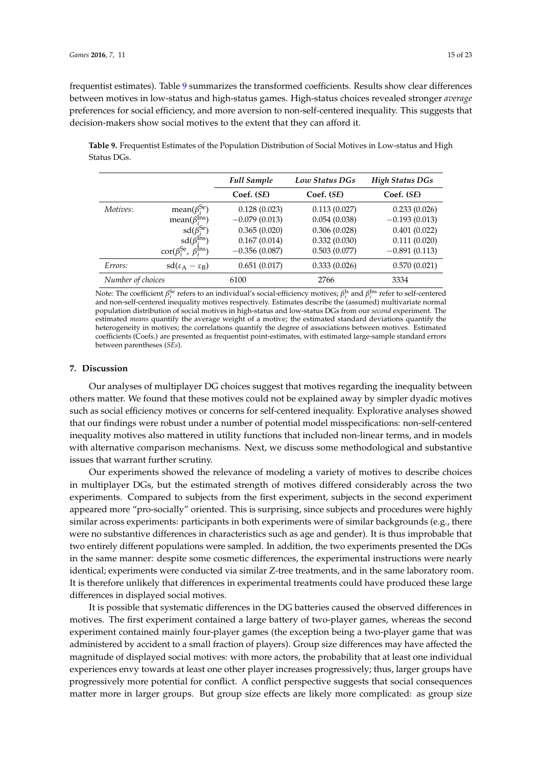frequentist estimates). Table [9](#page-14-0) summarizes the transformed coefficients. Results show clear differences between motives in low-status and high-status games. High-status choices revealed stronger *average* preferences for social efficiency, and more aversion to non-self-centered inequality. This suggests that decision-makers show social motives to the extent that they can afford it.

<span id="page-14-0"></span>**Table 9.** Frequentist Estimates of the Population Distribution of Social Motives in Low-status and High Status DGs.

|                   |                                                         | <b>Full Sample</b> | Low Status DGs | <b>High Status DGs</b> |
|-------------------|---------------------------------------------------------|--------------------|----------------|------------------------|
|                   |                                                         | Coef. (SE)         | Coef. (SE)     | Coef. (SE)             |
| Motives:          | mean( $\beta_i^{Se}$ )                                  | 0.128(0.023)       | 0.113(0.027)   | 0.233(0.026)           |
|                   | mean( $\beta_i^{\text{Ins}}$ )                          | $-0.079(0.013)$    | 0.054(0.038)   | $-0.193(0.013)$        |
|                   | $sd(\beta_i^{Se})$                                      | 0.365(0.020)       | 0.306(0.028)   | 0.401(0.022)           |
|                   | $sd(\beta_i^{Ins})$                                     | 0.167(0.014)       | 0.332(0.030)   | 0.111(0.020)           |
|                   | $\text{cor}(\beta_i^{\text{Se}}, \beta_i^{\text{Ins}})$ | $-0.356(0.087)$    | 0.503(0.077)   | $-0.891(0.113)$        |
| Errors:           | $sd(\epsilon_A - \epsilon_B)$                           | 0.651(0.017)       | 0.333(0.026)   | 0.570(0.021)           |
| Number of choices |                                                         | 6100               | 2766           | 3334                   |

Note: The coefficient  $\beta_i^{Se}$  refers to an individual's social-efficiency motives;  $\beta_i^{Is}$  and  $\beta_i^{Ins}$  refer to self-centered and non-self-centered inequality motives respectively. Estimates describe the (assumed) multivariate normal population distribution of social motives in high-status and low-status DGs from our *second* experiment. The estimated *means* quantify the average weight of a motive; the estimated standard deviations quantify the heterogeneity in motives; the correlations quantify the degree of associations between motives. Estimated coefficients (Coefs.) are presented as frequentist point-estimates, with estimated large-sample standard errors between parentheses (*SEs*).

#### **7. Discussion**

Our analyses of multiplayer DG choices suggest that motives regarding the inequality between others matter. We found that these motives could not be explained away by simpler dyadic motives such as social efficiency motives or concerns for self-centered inequality. Explorative analyses showed that our findings were robust under a number of potential model misspecifications: non-self-centered inequality motives also mattered in utility functions that included non-linear terms, and in models with alternative comparison mechanisms. Next, we discuss some methodological and substantive issues that warrant further scrutiny.

Our experiments showed the relevance of modeling a variety of motives to describe choices in multiplayer DGs, but the estimated strength of motives differed considerably across the two experiments. Compared to subjects from the first experiment, subjects in the second experiment appeared more "pro-socially" oriented. This is surprising, since subjects and procedures were highly similar across experiments: participants in both experiments were of similar backgrounds (e.g., there were no substantive differences in characteristics such as age and gender). It is thus improbable that two entirely different populations were sampled. In addition, the two experiments presented the DGs in the same manner: despite some cosmetic differences, the experimental instructions were nearly identical; experiments were conducted via similar Z-tree treatments, and in the same laboratory room. It is therefore unlikely that differences in experimental treatments could have produced these large differences in displayed social motives.

It is possible that systematic differences in the DG batteries caused the observed differences in motives. The first experiment contained a large battery of two-player games, whereas the second experiment contained mainly four-player games (the exception being a two-player game that was administered by accident to a small fraction of players). Group size differences may have affected the magnitude of displayed social motives: with more actors, the probability that at least one individual experiences envy towards at least one other player increases progressively; thus, larger groups have progressively more potential for conflict. A conflict perspective suggests that social consequences matter more in larger groups. But group size effects are likely more complicated: as group size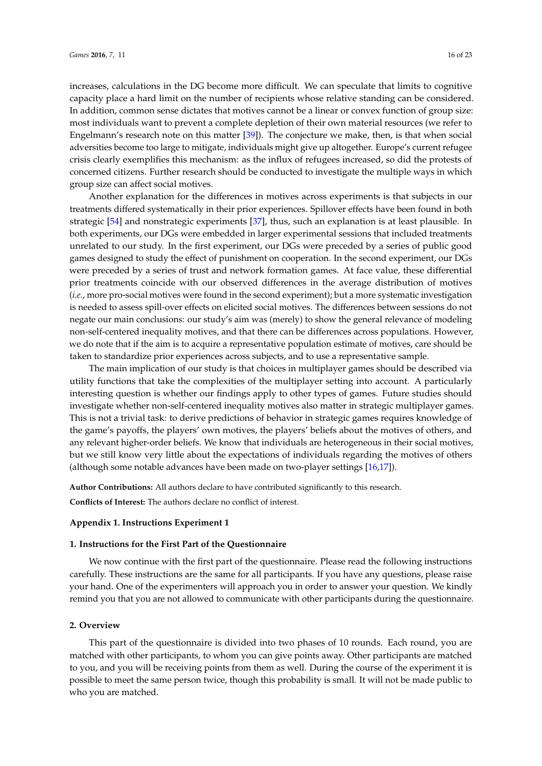increases, calculations in the DG become more difficult. We can speculate that limits to cognitive capacity place a hard limit on the number of recipients whose relative standing can be considered. In addition, common sense dictates that motives cannot be a linear or convex function of group size: most individuals want to prevent a complete depletion of their own material resources (we refer to Engelmann's research note on this matter [\[39\]](#page-21-23)). The conjecture we make, then, is that when social adversities become too large to mitigate, individuals might give up altogether. Europe's current refugee crisis clearly exemplifies this mechanism: as the influx of refugees increased, so did the protests of concerned citizens. Further research should be conducted to investigate the multiple ways in which group size can affect social motives.

Another explanation for the differences in motives across experiments is that subjects in our treatments differed systematically in their prior experiences. Spillover effects have been found in both strategic [\[54\]](#page-22-11) and nonstrategic experiments [\[37\]](#page-21-21), thus, such an explanation is at least plausible. In both experiments, our DGs were embedded in larger experimental sessions that included treatments unrelated to our study. In the first experiment, our DGs were preceded by a series of public good games designed to study the effect of punishment on cooperation. In the second experiment, our DGs were preceded by a series of trust and network formation games. At face value, these differential prior treatments coincide with our observed differences in the average distribution of motives (*i.e.*, more pro-social motives were found in the second experiment); but a more systematic investigation is needed to assess spill-over effects on elicited social motives. The differences between sessions do not negate our main conclusions: our study's aim was (merely) to show the general relevance of modeling non-self-centered inequality motives, and that there can be differences across populations. However, we do note that if the aim is to acquire a representative population estimate of motives, care should be taken to standardize prior experiences across subjects, and to use a representative sample.

The main implication of our study is that choices in multiplayer games should be described via utility functions that take the complexities of the multiplayer setting into account. A particularly interesting question is whether our findings apply to other types of games. Future studies should investigate whether non-self-centered inequality motives also matter in strategic multiplayer games. This is not a trivial task: to derive predictions of behavior in strategic games requires knowledge of the game's payoffs, the players' own motives, the players' beliefs about the motives of others, and any relevant higher-order beliefs. We know that individuals are heterogeneous in their social motives, but we still know very little about the expectations of individuals regarding the motives of others (although some notable advances have been made on two-player settings [\[16](#page-21-4)[,17\]](#page-21-27)).

**Author Contributions:** All authors declare to have contributed significantly to this research.

**Conflicts of Interest:** The authors declare no conflict of interest.

#### <span id="page-15-0"></span>**Appendix 1. Instructions Experiment 1**

#### **1. Instructions for the First Part of the Questionnaire**

We now continue with the first part of the questionnaire. Please read the following instructions carefully. These instructions are the same for all participants. If you have any questions, please raise your hand. One of the experimenters will approach you in order to answer your question. We kindly remind you that you are not allowed to communicate with other participants during the questionnaire.

#### **2. Overview**

This part of the questionnaire is divided into two phases of 10 rounds. Each round, you are matched with other participants, to whom you can give points away. Other participants are matched to you, and you will be receiving points from them as well. During the course of the experiment it is possible to meet the same person twice, though this probability is small. It will not be made public to who you are matched.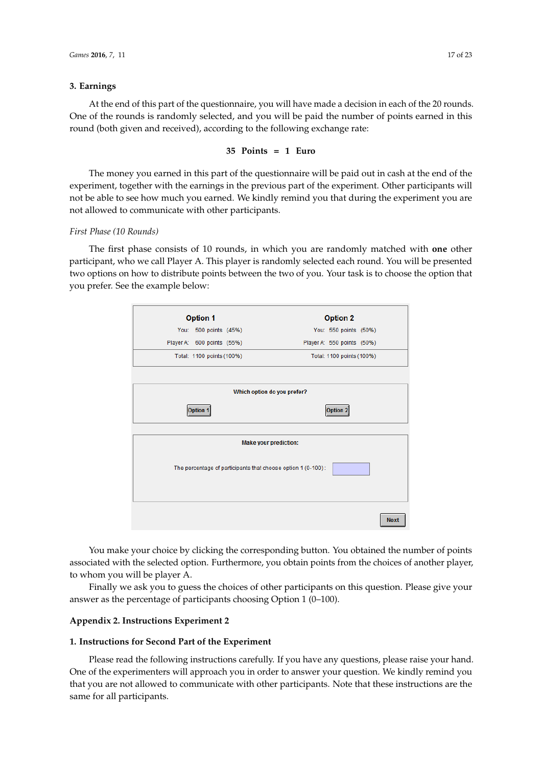### **3. Earnings 3. Earnings**

At the end of this part of the questionnaire, you will have made a decision in each of the 20 rounds. One of the rounds is randomly selected, and you will be paid the number of points earned in this round (both given and received), according to the following exchange rate:

#### **35 Points = 1 Euro 35 Points = 1 Euro**

The money you earned in this part of the questionnaire will be paid out in cash at the end of the The money you earned in this part of the questionnaire will be paid out in cash at the end of the experiment, together with the earnings in the previous part of the experiment. Other participants will experiment, together with the earnings in the previous part of the experiment. Other participants will not be able to see how much you earned. We kindly remind you that during the experiment you are not be able to see how much you earned. We kindly remind you that during the experiment you are not allowed to communicate with other participants. not allowed to communicate with other participants.

# *First Phase (10 Rounds) First Phase (10 Rounds)*

The first phase consists of 10 rounds, in which you are randomly matched with **one** other The first phase consists of 10 rounds, in which you are randomly matched with **one** other participant, who we call Player A. This player is randomly selected each round. You will be presented participant, who we call Player A. This player is randomly selected each round. You will be presented two options on how to distribute points between the two of you. Your task is to choose the option that two options on how to distribute points between the two of you. Your task is to choose the option you prefer. See the example below:



You make your choice by clicking the corresponding button. You obtained the number of points You make your choice by clicking the corresponding button. You obtained the number of points associated with the selected option. Furthermore, you obtain points from the choices of another associated with the selected option. Furthermore, you obtain points from the choices of another player, to whom you will be player A.

Finally we ask you to guess the choices of other participants on this question. Please give your Finally we ask you to guess the choices of other participants on this question. Please give your answer as the percentage of participants choosing Option 1 (0–100). answer as the percentage of participants choosing Option 1 (0–100).

# <span id="page-16-0"></span>**Appendix 2. Instructions Experiment 2 Appendix 2. Instructions Experiment 2**

#### **1. Instructions for Second Part of the Experiment 1. Instructions for Second Part of the Experiment**

One of the experimenters will approach you in order to answer your question. We kindly remind you that you are not allowed to communicate with other participants. Note that these instructions are the  $r_{\text{max}}$  for all participants. instructions are the same for all participants. The same for all participants of  $\mathbf{r}$ Please read the following instructions carefully. If you have any questions, please raise your hand.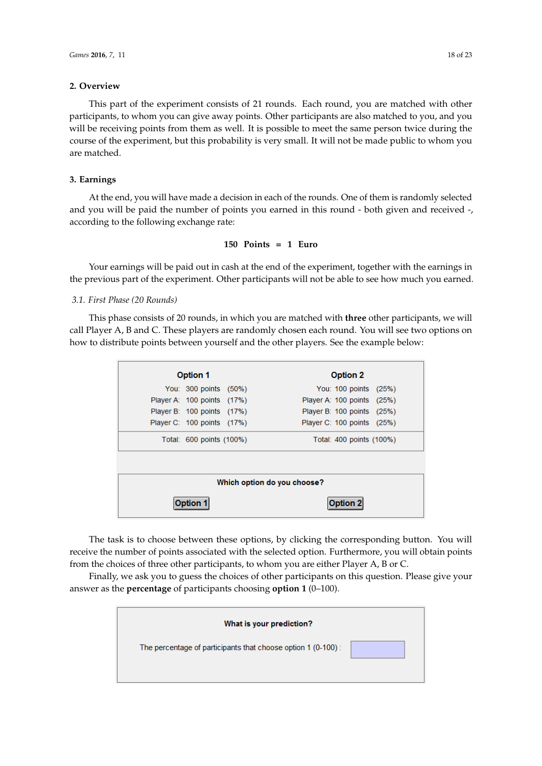#### **2. Overview 2.** Original **1986** This part of the experiment consists of 21 rounds. Each rounds. Each rounds. Each rounds. Each round, you are

This part of the experiment consists of 21 rounds. Each round, you are matched with other participants, to whom you can give away points. Other participants are also matched to you, and you will be receiving points from them as well. It is possible to meet the same person twice during the will be receiving points from them as well. It is possible to meet the same person twice during the will be receiving points from them as well. It is possible to meet the same person twice during the course of the experiment, but this probability is very small. It will not be made public to whom you are matched. This part of the experiment consists of 21 rounds. Each round, you are matched with other This part of the experiment consists of 21 rounds. Each round, you are matched with other participants are also matched to  $\eta$ 

#### **3. Earnings**  $\sigma$  $A_{\rm min}$  the end, you will have made a decision in each of the rounds. One of the rounds. One of the rounds. One of the mission in each of the rounds. One of the mission in each of the rounds. One of the mission in each o

At the end, you will have made a decision in each of the rounds. One of them is randomly selected and you will be paid the number of points you earned in this round - both given and received -, according to the following exchange rate:

# $150$  Points  $= 1$  Euro

Your earnings will be paid out in cash at the end of the experiment, together with the earnings in the previous part of the experiment. Other participants will not be able to see how much you earned.

# *3.1. First Phase (20 Rounds) 3.1. First Phase (20 Rounds) 3.1. First Phase (20 Rounds)*

This phase consists of 20 rounds, in which you are matched with three other participants, we will call Player A, B and C. These players are randomly chosen each round. You will see two options on how to distribute points between yourself and the other players. See the example below:

|                             | <b>Option 1</b>            |  | <b>Option 2</b>            |  |  |
|-----------------------------|----------------------------|--|----------------------------|--|--|
|                             | You: 300 points (50%)      |  | You: 100 points (25%)      |  |  |
|                             | Player A: 100 points (17%) |  | Player A: 100 points (25%) |  |  |
|                             | Player B: 100 points (17%) |  | Player B: 100 points (25%) |  |  |
|                             | Player C: 100 points (17%) |  | Player C: 100 points (25%) |  |  |
|                             | Total: 600 points (100%)   |  | Total: 400 points (100%)   |  |  |
| Which option do you choose? |                            |  |                            |  |  |
| ption 7                     |                            |  | Dption 2                   |  |  |

The task is to choose between these options, by clicking the corresponding button. You will receive the number of points associated with the selected option. Furthermore, you will obtain points from the choices of three other participants, to whom you are either Player A, B or C.

Finally, we ask you to guess the choices of other participants on this question. Please give your answer as the **percentage** of participants choosing **option 1** ( $0-100$ ).

| What is your prediction?                                     |  |
|--------------------------------------------------------------|--|
| The percentage of participants that choose option 1 (0-100): |  |
|                                                              |  |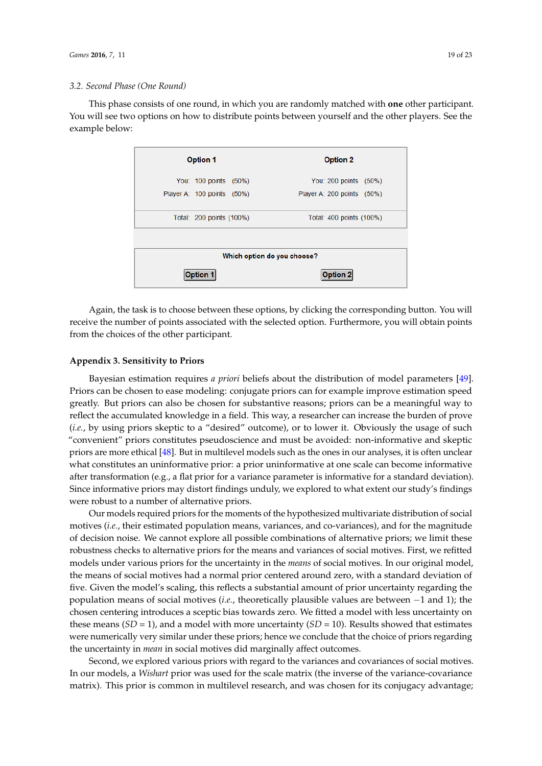# **3.2. Second Phase (One Round)** *Games <b>2016*

This phase consists of one round, in which you are randomly matched with **one** other participant. This phase consists of one round, in which you are randomly matched with **one** other participant. You will see two options on how to distribute points between yourself and the other players. See the You will see two options on how to distribute points between yourself and the other players. See the example below: example below:

| <b>Option 1</b>             | <b>Option 2</b>            |  |  |  |  |
|-----------------------------|----------------------------|--|--|--|--|
| You: 100 points (50%)       | You: 200 points (50%)      |  |  |  |  |
| Player A: 100 points (50%)  | Player A: 200 points (50%) |  |  |  |  |
| Total: 200 points (100%)    | Total: 400 points (100%)   |  |  |  |  |
|                             |                            |  |  |  |  |
| Which option do you choose? |                            |  |  |  |  |
| <b>Option 1</b>             | Option 2                   |  |  |  |  |

Again, the task is to choose between these options, by clicking the corresponding button. You Again, the task is to choose between these options, by clicking the corresponding button. You will receive the number of points associated with the selected option. Furthermore, you will obtain points<br>from the choices of the other participant. from the choices of the other participant.

## <span id="page-18-0"></span>**Appendix 3. Sensitivity to Priors Appendix 3. Sensitivity to Priors**

Bayesian estimation requires *a priori* beliefs about the distribution of model parameters [\[49\]](#page-22-6). Priors can be chosen to ease modeling: conjugate priors can for example improve estimation speed greatly. But priors can also be chosen for substantive reasons; priors can be a meaningful way to reflect the accumulated knowledge in a field. This way, a researcher can increase the burden of prove (*i.e.*, by using priors skeptic to a "desired" outcome), or to lower it. Obviously the usage of such "convenient" priors constitutes pseudoscience and must be avoided: non-informative and skeptic priors are more ethical [\[48\]](#page-22-5). But in multilevel models such as the ones in our analyses, it is often unclear .<br>what constitutes an uninformative prior: a prior uninformative at one scale can become informative after transformation (e.g., a flat prior for a variance parameter is informative for a standard deviation). Since informative priors may distort findings unduly, we explored to what extent our study's Since informative priors may distort findings unduly, we explored to what extent our study's findings were robust to a number of alternative priors.

Our models required priors for the moments of the hypothesized multivariate distribution of Our models required priors for the moments of the hypothesized multivariate distribution of social motives (*i.e.*, their estimated population means, variances, and co-variances), and for the magnitude of decision noise. We cannot explore all possible combinations of alternative priors; we limit these robustness checks to alternative priors for the means and variances of social motives. First, we refitted models under various priors for the uncertainty in the *means* of social motives. In our original model, the means of social motives had a normal prior centered around zero, with a standard deviation of five. Given the model's scaling, this reflects a substantial amount of prior uncertainty regarding the population means of social motives (*i.e.*, theoretically plausible values are between −1 and 1); the chosen centering introduces a sceptic bias towards zero. We fitted a model with less uncertainty on these means  $(SD = 1)$ , and a model with more uncertainty  $(SD = 10)$ . Results showed that estimates were numerically very similar under these priors; hence we conclude that the choice of priors regarding the uncertainty in *mean* in social motives did marginally affect outcomes.

Second, we explored various priors with regard to the variances and covariances of social Second, we explored various priors with regard to the variances and covariances of social motives. motives. In our models, a *Wishart* prior was used for the scale matrix (the inverse of the variance-In our models, a *Wishart* prior was used for the scale matrix (the inverse of the variance-covariance matrix). This prior is common in multilevel research, and was chosen for its conjugacy advantage; advantage; however, as was argued by Gelman [49], a downside of the *Wishart* prior is that its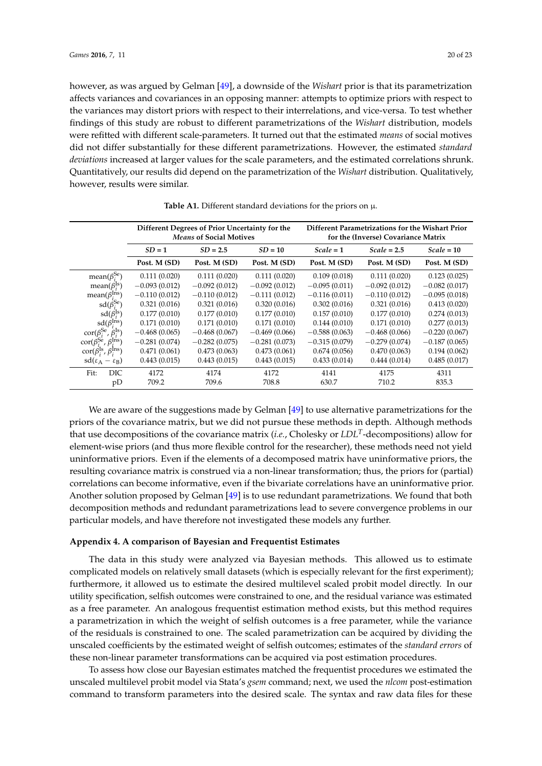however, as was argued by Gelman [\[49\]](#page-22-6), a downside of the *Wishart* prior is that its parametrization affects variances and covariances in an opposing manner: attempts to optimize priors with respect to the variances may distort priors with respect to their interrelations, and vice-versa. To test whether findings of this study are robust to different parametrizations of the *Wishart* distribution, models were refitted with different scale-parameters. It turned out that the estimated *means* of social motives did not differ substantially for these different parametrizations. However, the estimated *standard deviations* increased at larger values for the scale parameters, and the estimated correlations shrunk. Quantitatively, our results did depend on the parametrization of the *Wishart* distribution. Qualitatively, however, results were similar.

|                                                         | Different Degrees of Prior Uncertainty for the<br><b>Means of Social Motives</b> |                 |                 | Different Parametrizations for the Wishart Prior<br>for the (Inverse) Covariance Matrix |                 |                 |
|---------------------------------------------------------|----------------------------------------------------------------------------------|-----------------|-----------------|-----------------------------------------------------------------------------------------|-----------------|-----------------|
|                                                         | $SD = 1$                                                                         | $SD = 2.5$      | $SD = 10$       | $Scale = 1$                                                                             | $Scale = 2.5$   | $Scale = 10$    |
|                                                         | Post. M (SD)                                                                     | Post. M (SD)    | Post. M (SD)    | Post. M (SD)                                                                            | Post. M (SD)    | Post. M (SD)    |
| mean( $\beta_i^{Se}$ )                                  | 0.111(0.020)                                                                     | 0.111(0.020)    | 0.111(0.020)    | 0.109(0.018)                                                                            | 0.111(0.020)    | 0.123(0.025)    |
| mean( $\beta_i^{\text{ls}}$ )                           | $-0.093(0.012)$                                                                  | $-0.092(0.012)$ | $-0.092(0.012)$ | $-0.095(0.011)$                                                                         | $-0.092(0.012)$ | $-0.082(0.017)$ |
| mean( $\beta_i^{Ins}$ )                                 | $-0.110(0.012)$                                                                  | $-0.110(0.012)$ | $-0.111(0.012)$ | $-0.116(0.011)$                                                                         | $-0.110(0.012)$ | $-0.095(0.018)$ |
| $sd(\beta_i^{Se})$                                      | 0.321(0.016)                                                                     | 0.321(0.016)    | 0.320(0.016)    | 0.302(0.016)                                                                            | 0.321(0.016)    | 0.413(0.020)    |
| $sd(\beta_i^{ls})$                                      | 0.177(0.010)                                                                     | 0.177(0.010)    | 0.177(0.010)    | 0.157(0.010)                                                                            | 0.177(0.010)    | 0.274(0.013)    |
| $sd(\beta_i^{Ins})$                                     | 0.171(0.010)                                                                     | 0.171(0.010)    | 0.171(0.010)    | 0.144(0.010)                                                                            | 0.171(0.010)    | 0.277(0.013)    |
| $\text{cor}(\beta_i^{\text{Se}}, \beta_i^{\text{Is}})$  | $-0.468(0.065)$                                                                  | $-0.468(0.067)$ | $-0.469(0.066)$ | $-0.588(0.063)$                                                                         | $-0.468(0.066)$ | $-0.220(0.067)$ |
| $\text{cor}(\beta_i^{\text{Se}}, \beta_i^{\text{Ins}})$ | $-0.281(0.074)$                                                                  | $-0.282(0.075)$ | $-0.281(0.073)$ | $-0.315(0.079)$                                                                         | $-0.279(0.074)$ | $-0.187(0.065)$ |
| $\text{cor}(\beta_i^{\text{ls}}, \beta_i^{\text{lns}})$ | 0.471(0.061)                                                                     | 0.473(0.063)    | 0.473(0.061)    | 0.674(0.056)                                                                            | 0.470(0.063)    | 0.194(0.062)    |
| $sd(\epsilon_A - \epsilon_B)$                           | 0.443(0.015)                                                                     | 0.443(0.015)    | 0.443(0.015)    | 0.433(0.014)                                                                            | 0.444(0.014)    | 0.485(0.017)    |
| DIC<br>Fit:                                             | 4172                                                                             | 4174            | 4172            | 4141                                                                                    | 4175            | 4311            |
| pD                                                      | 709.2                                                                            | 709.6           | 708.8           | 630.7                                                                                   | 710.2           | 835.3           |

**Table A1.** Different standard deviations for the priors on  $\mu$ .

We are aware of the suggestions made by Gelman [\[49\]](#page-22-6) to use alternative parametrizations for the priors of the covariance matrix, but we did not pursue these methods in depth. Although methods that use decompositions of the covariance matrix (*i.e.*, Cholesky or *LDL<sup>T</sup>* -decompositions) allow for element-wise priors (and thus more flexible control for the researcher), these methods need not yield uninformative priors. Even if the elements of a decomposed matrix have uninformative priors, the resulting covariance matrix is construed via a non-linear transformation; thus, the priors for (partial) correlations can become informative, even if the bivariate correlations have an uninformative prior. Another solution proposed by Gelman [\[49\]](#page-22-6) is to use redundant parametrizations. We found that both decomposition methods and redundant parametrizations lead to severe convergence problems in our particular models, and have therefore not investigated these models any further.

#### <span id="page-19-0"></span>**Appendix 4. A comparison of Bayesian and Frequentist Estimates**

The data in this study were analyzed via Bayesian methods. This allowed us to estimate complicated models on relatively small datasets (which is especially relevant for the first experiment); furthermore, it allowed us to estimate the desired multilevel scaled probit model directly. In our utility specification, selfish outcomes were constrained to one, and the residual variance was estimated as a free parameter. An analogous frequentist estimation method exists, but this method requires a parametrization in which the weight of selfish outcomes is a free parameter, while the variance of the residuals is constrained to one. The scaled parametrization can be acquired by dividing the unscaled coefficients by the estimated weight of selfish outcomes; estimates of the *standard errors* of these non-linear parameter transformations can be acquired via post estimation procedures.

To assess how close our Bayesian estimates matched the frequentist procedures we estimated the unscaled multilevel probit model via Stata's *gsem* command; next, we used the *nlcom* post-estimation command to transform parameters into the desired scale. The syntax and raw data files for these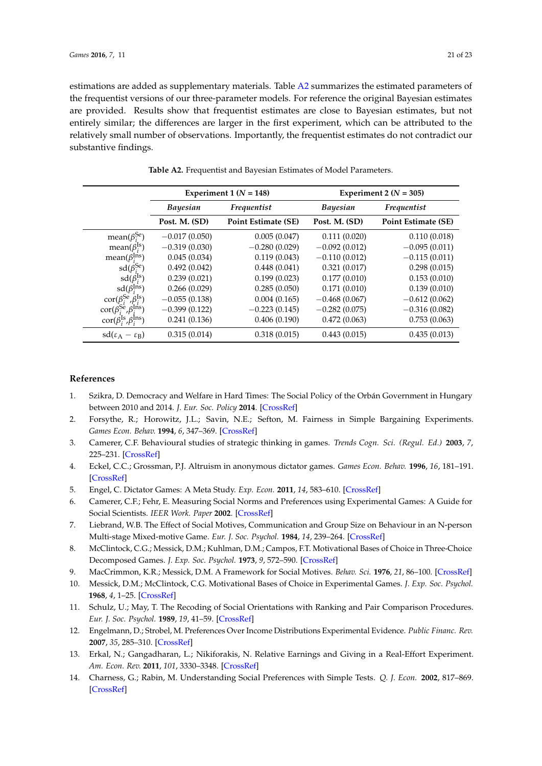estimations are added as supplementary materials. Table [A2](#page-20-13) summarizes the estimated parameters of the frequentist versions of our three-parameter models. For reference the original Bayesian estimates are provided. Results show that frequentist estimates are close to Bayesian estimates, but not entirely similar; the differences are larger in the first experiment, which can be attributed to the relatively small number of observations. Importantly, the frequentist estimates do not contradict our substantive findings.

<span id="page-20-13"></span>

|                                                         |                 | Experiment 1 ( $N = 148$ ) | Experiment 2 ( $N = 305$ ) |                     |  |
|---------------------------------------------------------|-----------------|----------------------------|----------------------------|---------------------|--|
|                                                         | <b>Bayesian</b> | Frequentist                | <b>Bayesian</b>            | Frequentist         |  |
|                                                         | Post. M. (SD)   | <b>Point Estimate (SE)</b> | Post. M. (SD)              | Point Estimate (SE) |  |
| mean( $\beta_i^{\text{Se}}$ )                           | $-0.017(0.050)$ | 0.005(0.047)               | 0.111(0.020)               | 0.110(0.018)        |  |
| mean( $\beta_i^{\text{ls}}$ )                           | $-0.319(0.030)$ | $-0.280(0.029)$            | $-0.092(0.012)$            | $-0.095(0.011)$     |  |
| mean( $\beta_i^{\text{Ins}}$ )                          | 0.045(0.034)    | 0.119(0.043)               | $-0.110(0.012)$            | $-0.115(0.011)$     |  |
| $sd(\beta_i^{Se})$                                      | 0.492(0.042)    | 0.448(0.041)               | 0.321(0.017)               | 0.298(0.015)        |  |
| $sd(\beta_i^{Is})$                                      | 0.239(0.021)    | 0.199(0.023)               | 0.177(0.010)               | 0.153(0.010)        |  |
| $sd(\beta_i^{Ins})$                                     | 0.266(0.029)    | 0.285(0.050)               | 0.171(0.010)               | 0.139(0.010)        |  |
| $\text{cor}(\beta_i^{\text{Se}}, \beta_i^{\text{Is}})$  | $-0.055(0.138)$ | 0.004(0.165)               | $-0.468(0.067)$            | $-0.612(0.062)$     |  |
| $\text{cor}(\beta_i^{\text{Se}}, \beta_i^{\text{Ins}})$ | $-0.399(0.122)$ | $-0.223(0.145)$            | $-0.282(0.075)$            | $-0.316(0.082)$     |  |
| $\text{cor}(\beta_i^{\text{Is}}, \beta_i^{\text{Ins}})$ | 0.241(0.136)    | 0.406(0.190)               | 0.472(0.063)               | 0.753(0.063)        |  |
| $sd(\epsilon_A - \epsilon_B)$                           | 0.315(0.014)    | 0.318(0.015)               | 0.443(0.015)               | 0.435(0.013)        |  |

**Table A2.** Frequentist and Bayesian Estimates of Model Parameters.

#### **References**

- <span id="page-20-0"></span>1. Szikra, D. Democracy and Welfare in Hard Times: The Social Policy of the Orbán Government in Hungary between 2010 and 2014. *J. Eur. Soc. Policy* **2014**. [\[CrossRef\]](http://dx.doi.org/10.1177/0958928714545446)
- <span id="page-20-1"></span>2. Forsythe, R.; Horowitz, J.L.; Savin, N.E.; Sefton, M. Fairness in Simple Bargaining Experiments. *Games Econ. Behav.* **1994**, *6*, 347–369. [\[CrossRef\]](http://dx.doi.org/10.1006/game.1994.1021)
- <span id="page-20-2"></span>3. Camerer, C.F. Behavioural studies of strategic thinking in games. *Trends Cogn. Sci. (Regul. Ed.)* **2003**, *7*, 225–231. [\[CrossRef\]](http://dx.doi.org/10.1016/S1364-6613(03)00094-9)
- <span id="page-20-3"></span>4. Eckel, C.C.; Grossman, P.J. Altruism in anonymous dictator games. *Games Econ. Behav.* **1996**, *16*, 181–191. [\[CrossRef\]](http://dx.doi.org/10.1006/game.1996.0081)
- <span id="page-20-4"></span>5. Engel, C. Dictator Games: A Meta Study. *Exp. Econ.* **2011**, *14*, 583–610. [\[CrossRef\]](http://dx.doi.org/10.1007/s10683-011-9283-7)
- <span id="page-20-5"></span>6. Camerer, C.F.; Fehr, E. Measuring Social Norms and Preferences using Experimental Games: A Guide for Social Scientists. *IEER Work. Paper* **2002**. [\[CrossRef\]](http://dx.doi.org/10.2139/ssrn.299143)
- <span id="page-20-12"></span>7. Liebrand, W.B. The Effect of Social Motives, Communication and Group Size on Behaviour in an N-person Multi-stage Mixed-motive Game. *Eur. J. Soc. Psychol.* **1984**, *14*, 239–264. [\[CrossRef\]](http://dx.doi.org/10.1002/ejsp.2420140302)
- <span id="page-20-6"></span>8. McClintock, C.G.; Messick, D.M.; Kuhlman, D.M.; Campos, F.T. Motivational Bases of Choice in Three-Choice Decomposed Games. *J. Exp. Soc. Psychol.* **1973**, *9*, 572–590. [\[CrossRef\]](http://dx.doi.org/10.1016/0022-1031(73)90039-5)
- 9. MacCrimmon, K.R.; Messick, D.M. A Framework for Social Motives. *Behav. Sci.* **1976**, *21*, 86–100. [\[CrossRef\]](http://dx.doi.org/10.1002/bs.3830210203)
- <span id="page-20-7"></span>10. Messick, D.M.; McClintock, C.G. Motivational Bases of Choice in Experimental Games. *J. Exp. Soc. Psychol.* **1968**, *4*, 1–25. [\[CrossRef\]](http://dx.doi.org/10.1016/0022-1031(68)90046-2)
- <span id="page-20-8"></span>11. Schulz, U.; May, T. The Recoding of Social Orientations with Ranking and Pair Comparison Procedures. *Eur. J. Soc. Psychol.* **1989**, *19*, 41–59. [\[CrossRef\]](http://dx.doi.org/10.1002/ejsp.2420190105)
- <span id="page-20-9"></span>12. Engelmann, D.; Strobel, M. Preferences Over Income Distributions Experimental Evidence. *Public Financ. Rev.* **2007**, *35*, 285–310. [\[CrossRef\]](http://dx.doi.org/10.1177/1091142106294713)
- <span id="page-20-11"></span>13. Erkal, N.; Gangadharan, L.; Nikiforakis, N. Relative Earnings and Giving in a Real-Effort Experiment. *Am. Econ. Rev.* **2011**, *101*, 3330–3348. [\[CrossRef\]](http://dx.doi.org/10.1257/aer.101.7.3330)
- <span id="page-20-10"></span>14. Charness, G.; Rabin, M. Understanding Social Preferences with Simple Tests. *Q. J. Econ.* **2002**, 817–869. [\[CrossRef\]](http://dx.doi.org/10.1162/003355302760193904)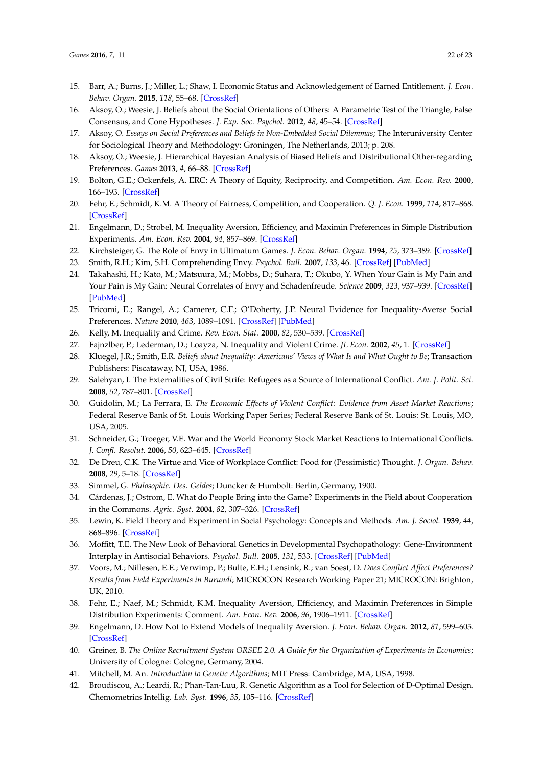- <span id="page-21-0"></span>15. Barr, A.; Burns, J.; Miller, L.; Shaw, I. Economic Status and Acknowledgement of Earned Entitlement. *J. Econ. Behav. Organ.* **2015**, *118*, 55–68. [\[CrossRef\]](http://dx.doi.org/10.1016/j.jebo.2015.02.012)
- <span id="page-21-4"></span>16. Aksoy, O.; Weesie, J. Beliefs about the Social Orientations of Others: A Parametric Test of the Triangle, False Consensus, and Cone Hypotheses. *J. Exp. Soc. Psychol.* **2012**, *48*, 45–54. [\[CrossRef\]](http://dx.doi.org/10.1016/j.jesp.2011.07.009)
- <span id="page-21-27"></span>17. Aksoy, O. *Essays on Social Preferences and Beliefs in Non-Embedded Social Dilemmas*; The Interuniversity Center for Sociological Theory and Methodology: Groningen, The Netherlands, 2013; p. 208.
- <span id="page-21-5"></span>18. Aksoy, O.; Weesie, J. Hierarchical Bayesian Analysis of Biased Beliefs and Distributional Other-regarding Preferences. *Games* **2013**, *4*, 66–88. [\[CrossRef\]](http://dx.doi.org/10.3390/g4010066)
- <span id="page-21-1"></span>19. Bolton, G.E.; Ockenfels, A. ERC: A Theory of Equity, Reciprocity, and Competition. *Am. Econ. Rev.* **2000**, 166–193. [\[CrossRef\]](http://dx.doi.org/10.1257/aer.90.1.166)
- <span id="page-21-2"></span>20. Fehr, E.; Schmidt, K.M. A Theory of Fairness, Competition, and Cooperation. *Q. J. Econ.* **1999**, *114*, 817–868. [\[CrossRef\]](http://dx.doi.org/10.1162/003355399556151)
- <span id="page-21-3"></span>21. Engelmann, D.; Strobel, M. Inequality Aversion, Efficiency, and Maximin Preferences in Simple Distribution Experiments. *Am. Econ. Rev.* **2004**, *94*, 857–869. [\[CrossRef\]](http://dx.doi.org/10.1257/0002828042002741)
- <span id="page-21-6"></span>22. Kirchsteiger, G. The Role of Envy in Ultimatum Games. *J. Econ. Behav. Organ.* **1994**, *25*, 373–389. [\[CrossRef\]](http://dx.doi.org/10.1016/0167-2681(94)90106-6)
- <span id="page-21-7"></span>23. Smith, R.H.; Kim, S.H. Comprehending Envy. *Psychol. Bull.* **2007**, *133*, 46. [\[CrossRef\]](http://dx.doi.org/10.1037/0033-2909.133.1.46) [\[PubMed\]](http://www.ncbi.nlm.nih.gov/pubmed/17201570)
- <span id="page-21-8"></span>24. Takahashi, H.; Kato, M.; Matsuura, M.; Mobbs, D.; Suhara, T.; Okubo, Y. When Your Gain is My Pain and Your Pain is My Gain: Neural Correlates of Envy and Schadenfreude. *Science* **2009**, *323*, 937–939. [\[CrossRef\]](http://dx.doi.org/10.1126/science.1165604) [\[PubMed\]](http://www.ncbi.nlm.nih.gov/pubmed/19213918)
- <span id="page-21-9"></span>25. Tricomi, E.; Rangel, A.; Camerer, C.F.; O'Doherty, J.P. Neural Evidence for Inequality-Averse Social Preferences. *Nature* **2010**, *463*, 1089–1091. [\[CrossRef\]](http://dx.doi.org/10.1038/nature08785) [\[PubMed\]](http://www.ncbi.nlm.nih.gov/pubmed/20182511)
- <span id="page-21-10"></span>26. Kelly, M. Inequality and Crime. *Rev. Econ. Stat.* **2000**, *82*, 530–539. [\[CrossRef\]](http://dx.doi.org/10.1162/003465300559028)
- <span id="page-21-11"></span>27. Fajnzlber, P.; Lederman, D.; Loayza, N. Inequality and Violent Crime. *JL Econ.* **2002**, *45*, 1. [\[CrossRef\]](http://dx.doi.org/10.1086/338347)
- <span id="page-21-12"></span>28. Kluegel, J.R.; Smith, E.R. *Beliefs about Inequality: Americans' Views of What Is and What Ought to Be*; Transaction Publishers: Piscataway, NJ, USA, 1986.
- <span id="page-21-13"></span>29. Salehyan, I. The Externalities of Civil Strife: Refugees as a Source of International Conflict. *Am. J. Polit. Sci.* **2008**, *52*, 787–801. [\[CrossRef\]](http://dx.doi.org/10.1111/j.1540-5907.2008.00343.x)
- <span id="page-21-14"></span>30. Guidolin, M.; La Ferrara, E. *The Economic Effects of Violent Conflict: Evidence from Asset Market Reactions*; Federal Reserve Bank of St. Louis Working Paper Series; Federal Reserve Bank of St. Louis: St. Louis, MO, USA, 2005.
- <span id="page-21-15"></span>31. Schneider, G.; Troeger, V.E. War and the World Economy Stock Market Reactions to International Conflicts. *J. Confl. Resolut.* **2006**, *50*, 623–645. [\[CrossRef\]](http://dx.doi.org/10.1177/0022002706290430)
- <span id="page-21-16"></span>32. De Dreu, C.K. The Virtue and Vice of Workplace Conflict: Food for (Pessimistic) Thought. *J. Organ. Behav.* **2008**, *29*, 5–18. [\[CrossRef\]](http://dx.doi.org/10.1002/job.474)
- <span id="page-21-17"></span>33. Simmel, G. *Philosophie. Des. Geldes*; Duncker & Humbolt: Berlin, Germany, 1900.
- <span id="page-21-18"></span>34. Cárdenas, J.; Ostrom, E. What do People Bring into the Game? Experiments in the Field about Cooperation in the Commons. *Agric. Syst.* **2004**, *82*, 307–326. [\[CrossRef\]](http://dx.doi.org/10.1016/j.agsy.2004.07.008)
- <span id="page-21-19"></span>35. Lewin, K. Field Theory and Experiment in Social Psychology: Concepts and Methods. *Am. J. Sociol.* **1939**, *44*, 868–896. [\[CrossRef\]](http://dx.doi.org/10.1086/218177)
- <span id="page-21-20"></span>36. Moffitt, T.E. The New Look of Behavioral Genetics in Developmental Psychopathology: Gene-Environment Interplay in Antisocial Behaviors. *Psychol. Bull.* **2005**, *131*, 533. [\[CrossRef\]](http://dx.doi.org/10.1037/0033-2909.131.4.533) [\[PubMed\]](http://www.ncbi.nlm.nih.gov/pubmed/16060801)
- <span id="page-21-21"></span>37. Voors, M.; Nillesen, E.E.; Verwimp, P.; Bulte, E.H.; Lensink, R.; van Soest, D. *Does Conflict Affect Preferences? Results from Field Experiments in Burundi*; MICROCON Research Working Paper 21; MICROCON: Brighton, UK, 2010.
- <span id="page-21-22"></span>38. Fehr, E.; Naef, M.; Schmidt, K.M. Inequality Aversion, Efficiency, and Maximin Preferences in Simple Distribution Experiments: Comment. *Am. Econ. Rev.* **2006**, *96*, 1906–1911. [\[CrossRef\]](http://dx.doi.org/10.1257/aer.96.5.1912)
- <span id="page-21-23"></span>39. Engelmann, D. How Not to Extend Models of Inequality Aversion. *J. Econ. Behav. Organ.* **2012**, *81*, 599–605. [\[CrossRef\]](http://dx.doi.org/10.1016/j.jebo.2011.08.007)
- <span id="page-21-24"></span>40. Greiner, B. *The Online Recruitment System ORSEE 2.0. A Guide for the Organization of Experiments in Economics*; University of Cologne: Cologne, Germany, 2004.
- <span id="page-21-25"></span>41. Mitchell, M. An. *Introduction to Genetic Algorithms*; MIT Press: Cambridge, MA, USA, 1998.
- <span id="page-21-26"></span>42. Broudiscou, A.; Leardi, R.; Phan-Tan-Luu, R. Genetic Algorithm as a Tool for Selection of D-Optimal Design. Chemometrics Intellig. *Lab. Syst.* **1996**, *35*, 105–116. [\[CrossRef\]](http://dx.doi.org/10.1016/S0169-7439(96)00028-7)